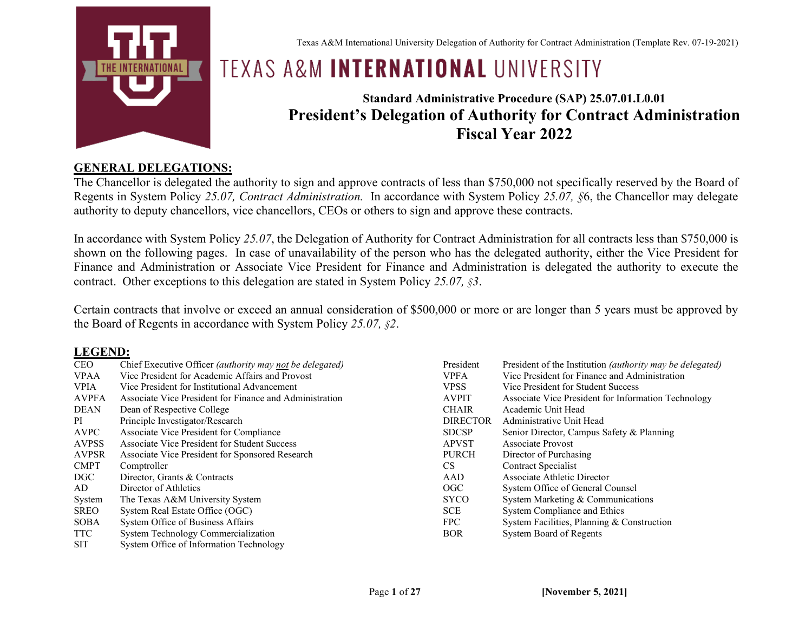

Texas A&M International University Delegation of Authority for Contract Administration (Template Rev. 07-19-2021)

# **TEXAS A&M INTERNATIONAL UNIVERSITY**

## **Standard Administrative Procedure (SAP) 25.07.01.L0.01 President's Delegation of Authority for Contract Administration Fiscal Year 2022**

#### **GENERAL DELEGATIONS:**

The Chancellor is delegated the authority to sign and approve contracts of less than \$750,000 not specifically reserved by the Board of Regents in System Policy *25.07, Contract Administration.* In accordance with System Policy *25.07, §*6, the Chancellor may delegate authority to deputy chancellors, vice chancellors, CEOs or others to sign and approve these contracts.

In accordance with System Policy *25.07*, the Delegation of Authority for Contract Administration for all contracts less than \$750,000 is shown on the following pages. In case of unavailability of the person who has the delegated authority, either the Vice President for Finance and Administration or Associate Vice President for Finance and Administration is delegated the authority to execute the contract. Other exceptions to this delegation are stated in System Policy *25.07, §3*.

Certain contracts that involve or exceed an annual consideration of \$500,000 or more or are longer than 5 years must be approved by the Board of Regents in accordance with System Policy *25.07, §2*.

#### **LEGEND:**

| CEO          | Chief Executive Officer (authority may not be delegated) | President       | President of the Institution <i>(authority may be delegated)</i> |
|--------------|----------------------------------------------------------|-----------------|------------------------------------------------------------------|
| <b>VPAA</b>  | Vice President for Academic Affairs and Provost          | <b>VPFA</b>     | Vice President for Finance and Administration                    |
| VPIA         | Vice President for Institutional Advancement             | <b>VPSS</b>     | Vice President for Student Success                               |
|              |                                                          |                 |                                                                  |
| AVPFA        | Associate Vice President for Finance and Administration  | <b>AVPIT</b>    | Associate Vice President for Information Technology              |
| DEAN         | Dean of Respective College                               | <b>CHAIR</b>    | Academic Unit Head                                               |
| PI           | Principle Investigator/Research                          | <b>DIRECTOR</b> | Administrative Unit Head                                         |
| AVPC         | Associate Vice President for Compliance                  | <b>SDCSP</b>    | Senior Director, Campus Safety & Planning                        |
| <b>AVPSS</b> | Associate Vice President for Student Success             | <b>APVST</b>    | Associate Provost                                                |
| AVPSR        | Associate Vice President for Sponsored Research          | <b>PURCH</b>    | Director of Purchasing                                           |
| <b>CMPT</b>  | Comptroller                                              | CS.             | Contract Specialist                                              |
| DGC.         | Director, Grants & Contracts                             | AAD             | <b>Associate Athletic Director</b>                               |
| AD           | Director of Athletics                                    | OGC             | System Office of General Counsel                                 |
| System       | The Texas A&M University System                          | <b>SYCO</b>     | System Marketing & Communications                                |
| SREO         | System Real Estate Office (OGC)                          | <b>SCE</b>      | System Compliance and Ethics                                     |
| SOBA         | System Office of Business Affairs                        | FPC.            | System Facilities, Planning & Construction                       |
| TTC          | System Technology Commercialization                      | <b>BOR</b>      | System Board of Regents                                          |
| SIT          | System Office of Information Technology                  |                 |                                                                  |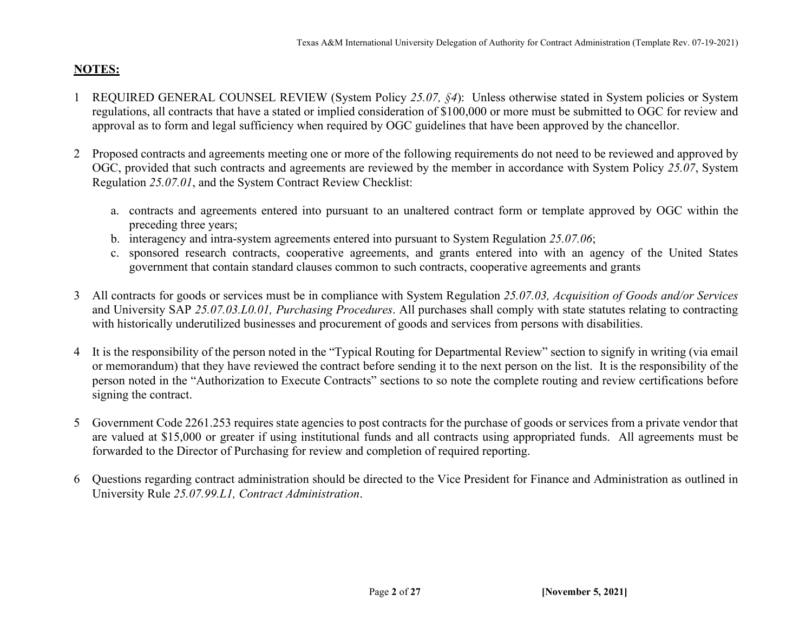### **NOTES:**

- 1 REQUIRED GENERAL COUNSEL REVIEW (System Policy *25.07, §4*): Unless otherwise stated in System policies or System regulations, all contracts that have a stated or implied consideration of \$100,000 or more must be submitted to OGC for review and approval as to form and legal sufficiency when required by OGC guidelines that have been approved by the chancellor.
- 2 Proposed contracts and agreements meeting one or more of the following requirements do not need to be reviewed and approved by OGC, provided that such contracts and agreements are reviewed by the member in accordance with System Policy *25.07*, System Regulation *25.07.01*, and the System Contract Review Checklist:
	- a. contracts and agreements entered into pursuant to an unaltered contract form or template approved by OGC within the preceding three years;
	- b. interagency and intra-system agreements entered into pursuant to System Regulation *25.07.06*;
	- c. sponsored research contracts, cooperative agreements, and grants entered into with an agency of the United States government that contain standard clauses common to such contracts, cooperative agreements and grants
- 3 All contracts for goods or services must be in compliance with System Regulation *25.07.03, Acquisition of Goods and/or Services* and University SAP *25.07.03.L0.01, Purchasing Procedures*. All purchases shall comply with state statutes relating to contracting with historically underutilized businesses and procurement of goods and services from persons with disabilities.
- 4 It is the responsibility of the person noted in the "Typical Routing for Departmental Review" section to signify in writing (via email or memorandum) that they have reviewed the contract before sending it to the next person on the list. It is the responsibility of the person noted in the "Authorization to Execute Contracts" sections to so note the complete routing and review certifications before signing the contract.
- 5 Government Code 2261.253 requires state agencies to post contracts for the purchase of goods or services from a private vendor that are valued at \$15,000 or greater if using institutional funds and all contracts using appropriated funds. All agreements must be forwarded to the Director of Purchasing for review and completion of required reporting.
- 6 Questions regarding contract administration should be directed to the Vice President for Finance and Administration as outlined in University Rule *25.07.99.L1, Contract Administration*.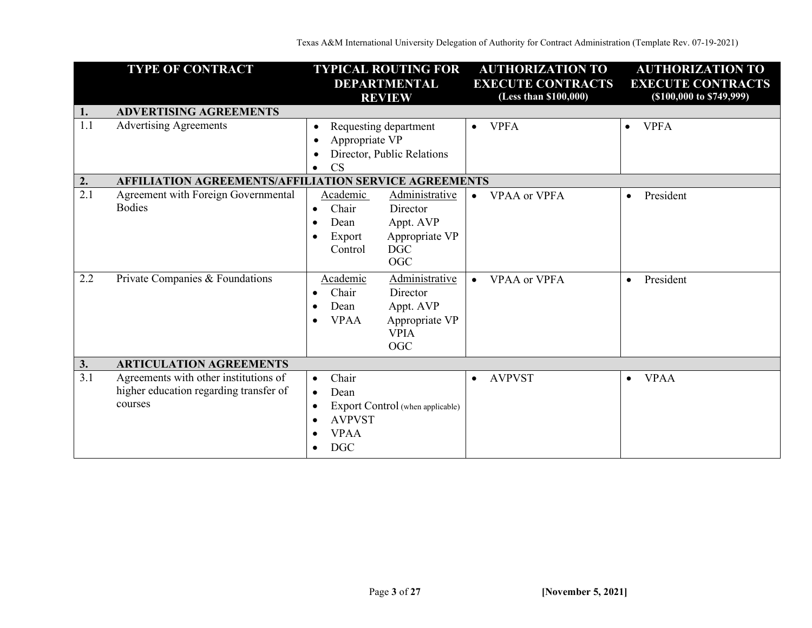Texas A&M International University Delegation of Authority for Contract Administration (Template Rev. 07-19-2021)

|     | <b>TYPE OF CONTRACT</b>                                                                    | <b>TYPICAL ROUTING FOR</b><br><b>DEPARTMENTAL</b><br><b>REVIEW</b>                                                                                                             | <b>AUTHORIZATION TO</b><br><b>EXECUTE CONTRACTS</b><br>(Less than \$100,000) |                          |
|-----|--------------------------------------------------------------------------------------------|--------------------------------------------------------------------------------------------------------------------------------------------------------------------------------|------------------------------------------------------------------------------|--------------------------|
| 1.  | <b>ADVERTISING AGREEMENTS</b>                                                              |                                                                                                                                                                                |                                                                              |                          |
| 1.1 | <b>Advertising Agreements</b>                                                              | Requesting department<br>$\bullet$<br>Appropriate VP<br>Director, Public Relations<br>CS<br>$\bullet$                                                                          | <b>VPFA</b><br>$\bullet$                                                     | <b>VPFA</b><br>$\bullet$ |
| 2.  | <b>AFFILIATION AGREEMENTS/AFFILIATION SERVICE AGREEMENTS</b>                               |                                                                                                                                                                                |                                                                              |                          |
| 2.1 | Agreement with Foreign Governmental<br><b>Bodies</b>                                       | Administrative<br>Academic<br>Chair<br>Director<br>$\bullet$<br>Dean<br>Appt. AVP<br>$\bullet$<br>Appropriate VP<br>Export<br>$\bullet$<br><b>DGC</b><br>Control<br><b>OGC</b> | <b>VPAA</b> or VPFA<br>$\bullet$                                             | President<br>$\bullet$   |
| 2.2 | Private Companies & Foundations                                                            | Academic<br>Administrative<br>Chair<br>Director<br>Dean<br>Appt. AVP<br>$\bullet$<br>Appropriate VP<br><b>VPAA</b><br>$\bullet$<br><b>VPIA</b><br><b>OGC</b>                   | <b>VPAA or VPFA</b><br>$\bullet$                                             | President<br>$\bullet$   |
| 3.  | <b>ARTICULATION AGREEMENTS</b>                                                             |                                                                                                                                                                                |                                                                              |                          |
| 3.1 | Agreements with other institutions of<br>higher education regarding transfer of<br>courses | Chair<br>$\bullet$<br>Dean<br>Export Control (when applicable)<br><b>AVPVST</b><br><b>VPAA</b><br><b>DGC</b><br>$\bullet$                                                      | <b>AVPVST</b><br>$\bullet$                                                   | <b>VPAA</b><br>$\bullet$ |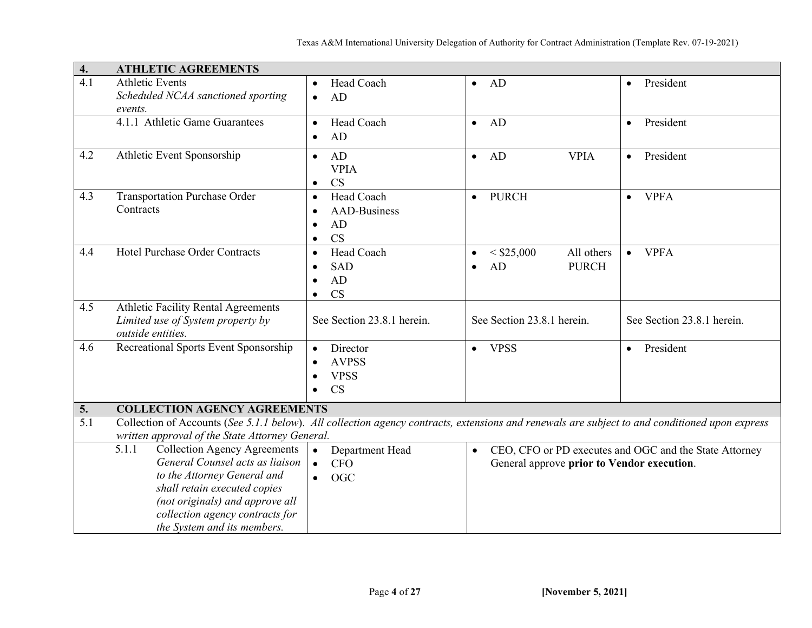| 4.               | <b>ATHLETIC AGREEMENTS</b>                                                                                                                     |                                  |                                            |                                                        |
|------------------|------------------------------------------------------------------------------------------------------------------------------------------------|----------------------------------|--------------------------------------------|--------------------------------------------------------|
| 4.1              | <b>Athletic Events</b>                                                                                                                         | Head Coach                       | AD<br>$\bullet$                            | President<br>$\bullet$                                 |
|                  | Scheduled NCAA sanctioned sporting<br>events.                                                                                                  | AD<br>$\bullet$                  |                                            |                                                        |
|                  | 4.1.1 Athletic Game Guarantees                                                                                                                 | Head Coach<br>$\bullet$          | AD<br>$\bullet$                            | President<br>$\bullet$                                 |
|                  |                                                                                                                                                | AD<br>$\bullet$                  |                                            |                                                        |
| 4.2              | Athletic Event Sponsorship                                                                                                                     | AD<br>$\bullet$                  | AD<br><b>VPIA</b><br>$\bullet$             | President<br>$\bullet$                                 |
|                  |                                                                                                                                                | <b>VPIA</b><br>CS                |                                            |                                                        |
| 4.3              | <b>Transportation Purchase Order</b>                                                                                                           | Head Coach<br>$\bullet$          | PURCH<br>$\bullet$                         | <b>VPFA</b><br>$\bullet$                               |
|                  | Contracts                                                                                                                                      | <b>AAD-Business</b><br>$\bullet$ |                                            |                                                        |
|                  |                                                                                                                                                | AD<br>$\bullet$                  |                                            |                                                        |
|                  |                                                                                                                                                | <b>CS</b><br>$\bullet$           |                                            |                                                        |
| 4.4              | Hotel Purchase Order Contracts                                                                                                                 | Head Coach<br>$\bullet$          | $<$ \$25,000<br>All others<br>$\bullet$    | <b>VPFA</b><br>$\bullet$                               |
|                  |                                                                                                                                                | <b>SAD</b><br>$\bullet$          | AD<br><b>PURCH</b><br>$\bullet$            |                                                        |
|                  |                                                                                                                                                | AD<br>$\bullet$                  |                                            |                                                        |
| 4.5              |                                                                                                                                                | <b>CS</b>                        |                                            |                                                        |
|                  | <b>Athletic Facility Rental Agreements</b><br>Limited use of System property by                                                                | See Section 23.8.1 herein.       | See Section 23.8.1 herein.                 | See Section 23.8.1 herein.                             |
|                  | outside entities.                                                                                                                              |                                  |                                            |                                                        |
| 4.6              | Recreational Sports Event Sponsorship                                                                                                          | Director                         | <b>VPSS</b><br>$\bullet$                   | President<br>$\bullet$                                 |
|                  |                                                                                                                                                | <b>AVPSS</b>                     |                                            |                                                        |
|                  |                                                                                                                                                | <b>VPSS</b><br>$\bullet$         |                                            |                                                        |
|                  |                                                                                                                                                | <b>CS</b>                        |                                            |                                                        |
| 5.               | <b>COLLECTION AGENCY AGREEMENTS</b>                                                                                                            |                                  |                                            |                                                        |
| $\overline{5.1}$ | Collection of Accounts (See 5.1.1 below). All collection agency contracts, extensions and renewals are subject to and conditioned upon express |                                  |                                            |                                                        |
|                  | written approval of the State Attorney General.                                                                                                |                                  |                                            |                                                        |
|                  | 5.1.1<br><b>Collection Agency Agreements</b>                                                                                                   | Department Head<br>$\bullet$     | $\bullet$                                  | CEO, CFO or PD executes and OGC and the State Attorney |
|                  | General Counsel acts as liaison                                                                                                                | <b>CFO</b><br>$\bullet$          | General approve prior to Vendor execution. |                                                        |
|                  | to the Attorney General and<br>shall retain executed copies                                                                                    | <b>OGC</b><br>$\bullet$          |                                            |                                                        |
|                  | (not originals) and approve all                                                                                                                |                                  |                                            |                                                        |
|                  | collection agency contracts for                                                                                                                |                                  |                                            |                                                        |
|                  | the System and its members.                                                                                                                    |                                  |                                            |                                                        |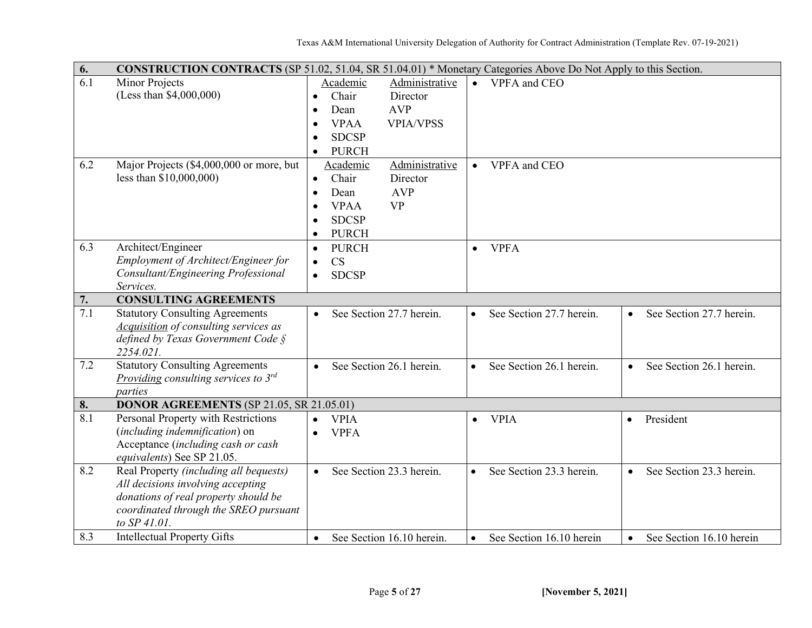| 6.  | <b>CONSTRUCTION CONTRACTS</b> (SP 51.02, 51.04, SR 51.04.01) * Monetary Categories Above Do Not Apply to this Section. |                                              |                                                                                |  |  |  |  |
|-----|------------------------------------------------------------------------------------------------------------------------|----------------------------------------------|--------------------------------------------------------------------------------|--|--|--|--|
| 6.1 | Minor Projects                                                                                                         | Administrative<br>Academic                   | VPFA and CEO<br>$\bullet$                                                      |  |  |  |  |
|     | (Less than \$4,000,000)                                                                                                | Chair<br>Director<br>$\bullet$               |                                                                                |  |  |  |  |
|     |                                                                                                                        | <b>AVP</b><br>Dean<br>$\bullet$              |                                                                                |  |  |  |  |
|     |                                                                                                                        | <b>VPIA/VPSS</b><br><b>VPAA</b><br>$\bullet$ |                                                                                |  |  |  |  |
|     |                                                                                                                        | <b>SDCSP</b><br>$\bullet$                    |                                                                                |  |  |  |  |
|     |                                                                                                                        | <b>PURCH</b><br>$\bullet$                    |                                                                                |  |  |  |  |
| 6.2 | Major Projects (\$4,000,000 or more, but                                                                               | Administrative<br>Academic                   | VPFA and CEO<br>$\bullet$                                                      |  |  |  |  |
|     | less than \$10,000,000)                                                                                                | Chair<br>Director<br>$\bullet$               |                                                                                |  |  |  |  |
|     |                                                                                                                        | <b>AVP</b><br>Dean<br>$\bullet$              |                                                                                |  |  |  |  |
|     |                                                                                                                        | <b>VPAA</b><br><b>VP</b><br>$\bullet$        |                                                                                |  |  |  |  |
|     |                                                                                                                        | <b>SDCSP</b><br>$\bullet$                    |                                                                                |  |  |  |  |
|     |                                                                                                                        | <b>PURCH</b><br>$\bullet$                    |                                                                                |  |  |  |  |
| 6.3 | Architect/Engineer                                                                                                     | <b>PURCH</b><br>$\bullet$                    | <b>VPFA</b><br>$\bullet$                                                       |  |  |  |  |
|     | Employment of Architect/Engineer for                                                                                   | CS<br>$\bullet$                              |                                                                                |  |  |  |  |
|     | Consultant/Engineering Professional                                                                                    | <b>SDCSP</b><br>$\bullet$                    |                                                                                |  |  |  |  |
|     | Services.                                                                                                              |                                              |                                                                                |  |  |  |  |
| 7.  | <b>CONSULTING AGREEMENTS</b>                                                                                           |                                              |                                                                                |  |  |  |  |
| 7.1 | <b>Statutory Consulting Agreements</b>                                                                                 | See Section 27.7 herein.                     | See Section 27.7 herein.<br>See Section 27.7 herein.<br>$\bullet$<br>$\bullet$ |  |  |  |  |
|     | <b>Acquisition of consulting services as</b>                                                                           |                                              |                                                                                |  |  |  |  |
|     | defined by Texas Government Code $\S$                                                                                  |                                              |                                                                                |  |  |  |  |
|     | 2254.021.                                                                                                              |                                              |                                                                                |  |  |  |  |
| 7.2 | <b>Statutory Consulting Agreements</b>                                                                                 | See Section 26.1 herein.<br>$\bullet$        | See Section 26.1 herein.<br>See Section 26.1 herein.<br>$\bullet$<br>$\bullet$ |  |  |  |  |
|     | Providing consulting services to $3^{rd}$                                                                              |                                              |                                                                                |  |  |  |  |
|     | parties                                                                                                                |                                              |                                                                                |  |  |  |  |
| 8.  | <b>DONOR AGREEMENTS (SP 21.05, SR 21.05.01)</b>                                                                        |                                              |                                                                                |  |  |  |  |
| 8.1 | Personal Property with Restrictions                                                                                    | <b>VPIA</b><br>$\bullet$                     | President<br><b>VPIA</b><br>$\bullet$<br>$\bullet$                             |  |  |  |  |
|     | (including indemnification) on                                                                                         | <b>VPFA</b><br>$\bullet$                     |                                                                                |  |  |  |  |
|     | Acceptance (including cash or cash                                                                                     |                                              |                                                                                |  |  |  |  |
| 8.2 | equivalents) See SP 21.05.                                                                                             |                                              |                                                                                |  |  |  |  |
|     | Real Property (including all bequests)                                                                                 | See Section 23.3 herein.<br>$\bullet$        | See Section 23.3 herein.<br>See Section 23.3 herein.<br>$\bullet$<br>$\bullet$ |  |  |  |  |
|     | All decisions involving accepting<br>donations of real property should be                                              |                                              |                                                                                |  |  |  |  |
|     |                                                                                                                        |                                              |                                                                                |  |  |  |  |
|     | coordinated through the SREO pursuant<br>to SP 41.01.                                                                  |                                              |                                                                                |  |  |  |  |
|     |                                                                                                                        |                                              |                                                                                |  |  |  |  |
| 8.3 | <b>Intellectual Property Gifts</b>                                                                                     | See Section 16.10 herein.<br>$\bullet$       | See Section 16.10 herein<br>See Section 16.10 herein<br>$\bullet$<br>$\bullet$ |  |  |  |  |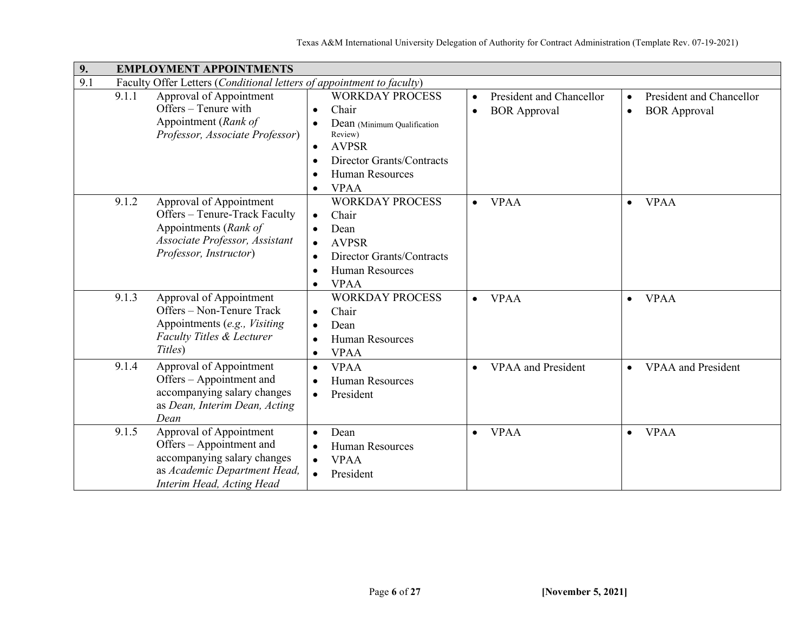| 9.<br><b>EMPLOYMENT APPOINTMENTS</b>                                                                                                                     |                                                                                                                                                                                                        |                                                                           |                                                                           |  |  |  |  |
|----------------------------------------------------------------------------------------------------------------------------------------------------------|--------------------------------------------------------------------------------------------------------------------------------------------------------------------------------------------------------|---------------------------------------------------------------------------|---------------------------------------------------------------------------|--|--|--|--|
| 9.1                                                                                                                                                      | Faculty Offer Letters (Conditional letters of appointment to faculty)                                                                                                                                  |                                                                           |                                                                           |  |  |  |  |
| 9.1.1<br>Approval of Appointment<br>Offers – Tenure with<br>Appointment (Rank of<br>Professor, Associate Professor)                                      | <b>WORKDAY PROCESS</b><br>Chair<br>$\bullet$<br>Dean (Minimum Qualification<br>Review)<br><b>AVPSR</b><br>Director Grants/Contracts<br>$\bullet$<br><b>Human Resources</b><br>$\bullet$<br><b>VPAA</b> | President and Chancellor<br>$\bullet$<br><b>BOR</b> Approval<br>$\bullet$ | President and Chancellor<br>$\bullet$<br><b>BOR</b> Approval<br>$\bullet$ |  |  |  |  |
| 9.1.2<br>Approval of Appointment<br>Offers - Tenure-Track Faculty<br>Appointments (Rank of<br>Associate Professor, Assistant<br>Professor, Instructor)   | <b>WORKDAY PROCESS</b><br>Chair<br>$\bullet$<br>Dean<br><b>AVPSR</b><br>$\bullet$<br>Director Grants/Contracts<br>$\bullet$<br><b>Human Resources</b><br>$\bullet$<br><b>VPAA</b><br>$\bullet$         | <b>VPAA</b><br>$\bullet$                                                  | <b>VPAA</b><br>$\bullet$                                                  |  |  |  |  |
| 9.1.3<br>Approval of Appointment<br>Offers – Non-Tenure Track<br>Appointments (e.g., Visiting<br><b>Faculty Titles &amp; Lecturer</b><br>Titles)         | <b>WORKDAY PROCESS</b><br>Chair<br>$\bullet$<br>Dean<br>$\bullet$<br><b>Human Resources</b><br><b>VPAA</b><br>$\bullet$                                                                                | <b>VPAA</b><br>$\bullet$                                                  | <b>VPAA</b><br>$\bullet$                                                  |  |  |  |  |
| 9.1.4<br>Approval of Appointment<br>Offers – Appointment and<br>accompanying salary changes<br>as Dean, Interim Dean, Acting<br>Dean                     | <b>VPAA</b><br><b>Human Resources</b><br>$\bullet$<br>President<br>$\bullet$                                                                                                                           | <b>VPAA</b> and President<br>$\bullet$                                    | <b>VPAA</b> and President<br>$\bullet$                                    |  |  |  |  |
| 9.1.5<br>Approval of Appointment<br>Offers – Appointment and<br>accompanying salary changes<br>as Academic Department Head,<br>Interim Head, Acting Head | Dean<br>$\bullet$<br><b>Human Resources</b><br><b>VPAA</b><br>President<br>$\bullet$                                                                                                                   | <b>VPAA</b><br>$\bullet$                                                  | <b>VPAA</b><br>$\bullet$                                                  |  |  |  |  |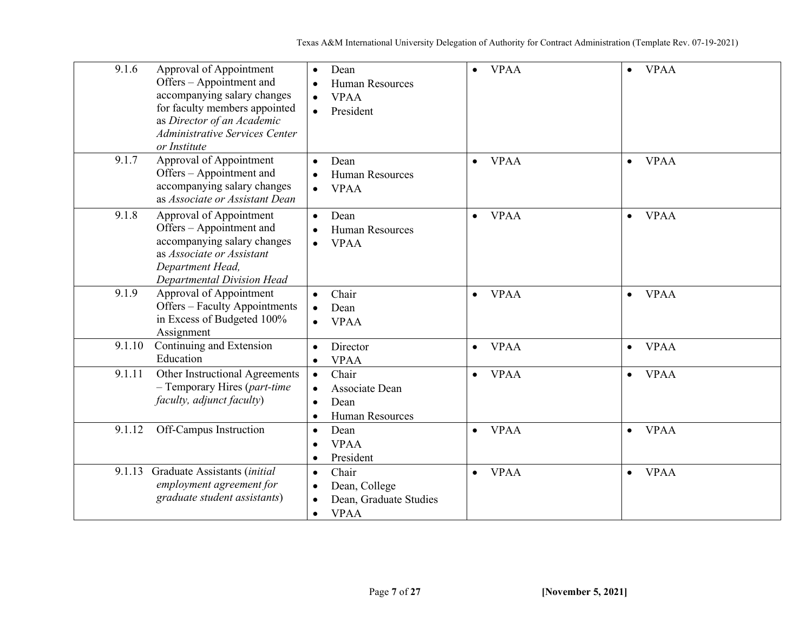| 9.1.6<br>Approval of Appointment<br>Offers - Appointment and<br>accompanying salary changes<br>for faculty members appointed<br>as Director of an Academic<br><b>Administrative Services Center</b><br>or Institute | Dean<br>$\bullet$<br>Human Resources<br>$\bullet$<br><b>VPAA</b><br>President<br>$\bullet$             | <b>VPAA</b><br>$\bullet$ | <b>VPAA</b><br>$\bullet$ |
|---------------------------------------------------------------------------------------------------------------------------------------------------------------------------------------------------------------------|--------------------------------------------------------------------------------------------------------|--------------------------|--------------------------|
| 9.1.7<br>Approval of Appointment<br>Offers – Appointment and<br>accompanying salary changes<br>as Associate or Assistant Dean                                                                                       | Dean<br>$\bullet$<br>Human Resources<br><b>VPAA</b><br>$\bullet$                                       | <b>VPAA</b><br>$\bullet$ | <b>VPAA</b><br>$\bullet$ |
| 9.1.8<br>Approval of Appointment<br>Offers – Appointment and<br>accompanying salary changes<br>as Associate or Assistant<br>Department Head,<br>Departmental Division Head                                          | Dean<br>$\bullet$<br>Human Resources<br>$\bullet$<br><b>VPAA</b><br>$\bullet$                          | <b>VPAA</b><br>$\bullet$ | <b>VPAA</b><br>$\bullet$ |
| 9.1.9<br>Approval of Appointment<br>Offers - Faculty Appointments<br>in Excess of Budgeted 100%<br>Assignment                                                                                                       | Chair<br>Dean<br><b>VPAA</b>                                                                           | <b>VPAA</b><br>$\bullet$ | <b>VPAA</b><br>$\bullet$ |
| Continuing and Extension<br>9.1.10<br>Education                                                                                                                                                                     | Director<br>$\bullet$<br><b>VPAA</b>                                                                   | <b>VPAA</b><br>$\bullet$ | <b>VPAA</b><br>$\bullet$ |
| Other Instructional Agreements<br>9.1.11<br>$-$ Temporary Hires (part-time<br>faculty, adjunct faculty)                                                                                                             | Chair<br>Associate Dean<br>Dean<br>$\bullet$<br><b>Human Resources</b><br>$\bullet$                    | <b>VPAA</b><br>$\bullet$ | <b>VPAA</b><br>$\bullet$ |
| Off-Campus Instruction<br>9.1.12                                                                                                                                                                                    | Dean<br>$\bullet$<br><b>VPAA</b><br>$\bullet$<br>President<br>$\bullet$                                | <b>VPAA</b><br>$\bullet$ | <b>VPAA</b><br>$\bullet$ |
| Graduate Assistants (initial<br>9.1.13<br>employment agreement for<br>graduate student assistants)                                                                                                                  | Chair<br>$\bullet$<br>Dean, College<br>Dean, Graduate Studies<br>$\bullet$<br><b>VPAA</b><br>$\bullet$ | <b>VPAA</b><br>$\bullet$ | <b>VPAA</b><br>$\bullet$ |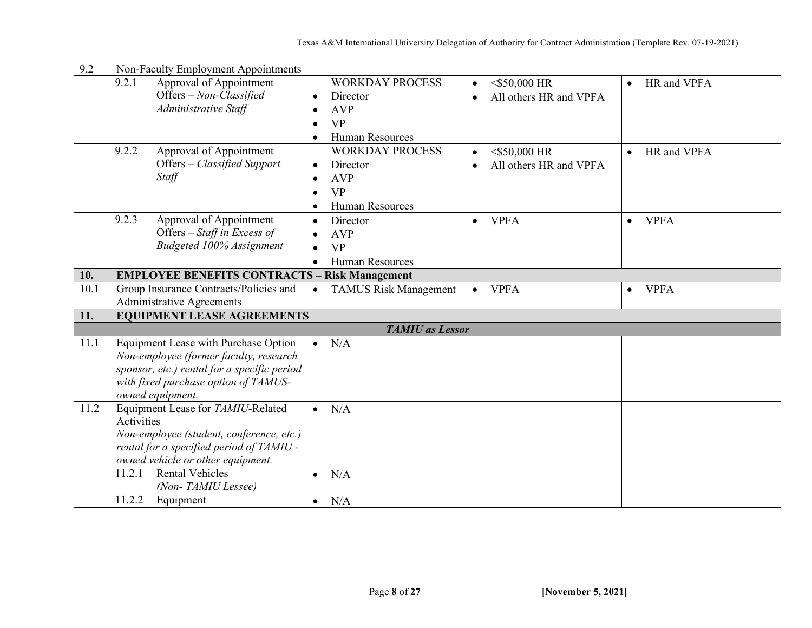| 9.2  |            | Non-Faculty Employment Appointments                  |           |                              |           |                        |           |             |
|------|------------|------------------------------------------------------|-----------|------------------------------|-----------|------------------------|-----------|-------------|
|      | 9.2.1      | Approval of Appointment                              |           | <b>WORKDAY PROCESS</b>       | $\bullet$ | $<$ \$50,000 HR        | $\bullet$ | HR and VPFA |
|      |            | Offers - Non-Classified                              | $\bullet$ | Director                     | $\bullet$ | All others HR and VPFA |           |             |
|      |            | Administrative Staff                                 | $\bullet$ | <b>AVP</b>                   |           |                        |           |             |
|      |            |                                                      | $\bullet$ | <b>VP</b>                    |           |                        |           |             |
|      |            |                                                      | $\bullet$ | <b>Human Resources</b>       |           |                        |           |             |
|      | 9.2.2      | Approval of Appointment                              |           | <b>WORKDAY PROCESS</b>       | $\bullet$ | $<$ \$50,000 HR        | $\bullet$ | HR and VPFA |
|      |            | Offers - Classified Support                          |           | Director                     | $\bullet$ | All others HR and VPFA |           |             |
|      |            | Staff                                                | $\bullet$ | <b>AVP</b>                   |           |                        |           |             |
|      |            |                                                      | $\bullet$ | <b>VP</b>                    |           |                        |           |             |
|      |            |                                                      | $\bullet$ | <b>Human Resources</b>       |           |                        |           |             |
|      | 9.2.3      | Approval of Appointment                              | $\bullet$ | Director                     | $\bullet$ | <b>VPFA</b>            | $\bullet$ | <b>VPFA</b> |
|      |            | Offers $-$ Staff in Excess of                        |           | <b>AVP</b>                   |           |                        |           |             |
|      |            | Budgeted 100% Assignment                             |           | <b>VP</b>                    |           |                        |           |             |
|      |            |                                                      | $\bullet$ | <b>Human Resources</b>       |           |                        |           |             |
| 10.  |            | <b>EMPLOYEE BENEFITS CONTRACTS - Risk Management</b> |           |                              |           |                        |           |             |
| 10.1 |            | Group Insurance Contracts/Policies and               | $\bullet$ | <b>TAMUS Risk Management</b> | $\bullet$ | <b>VPFA</b>            | $\bullet$ | <b>VPFA</b> |
|      |            | <b>Administrative Agreements</b>                     |           |                              |           |                        |           |             |
| 11.  |            | <b>EQUIPMENT LEASE AGREEMENTS</b>                    |           |                              |           |                        |           |             |
|      |            |                                                      |           | <b>TAMIU</b> as Lessor       |           |                        |           |             |
| 11.1 |            | Equipment Lease with Purchase Option                 | $\bullet$ | N/A                          |           |                        |           |             |
|      |            | Non-employee (former faculty, research               |           |                              |           |                        |           |             |
|      |            | sponsor, etc.) rental for a specific period          |           |                              |           |                        |           |             |
|      |            | with fixed purchase option of TAMUS-                 |           |                              |           |                        |           |             |
|      |            | owned equipment.                                     |           |                              |           |                        |           |             |
| 11.2 |            | Equipment Lease for TAMIU-Related                    | $\bullet$ | N/A                          |           |                        |           |             |
|      | Activities |                                                      |           |                              |           |                        |           |             |
|      |            | Non-employee (student, conference, etc.)             |           |                              |           |                        |           |             |
|      |            | rental for a specified period of TAMIU -             |           |                              |           |                        |           |             |
|      |            | owned vehicle or other equipment.                    |           |                              |           |                        |           |             |
|      | 11.2.1     | <b>Rental Vehicles</b>                               | $\bullet$ | N/A                          |           |                        |           |             |
|      |            | (Non-TAMIU Lessee)                                   |           |                              |           |                        |           |             |
|      | 11.2.2     | Equipment                                            | $\bullet$ | N/A                          |           |                        |           |             |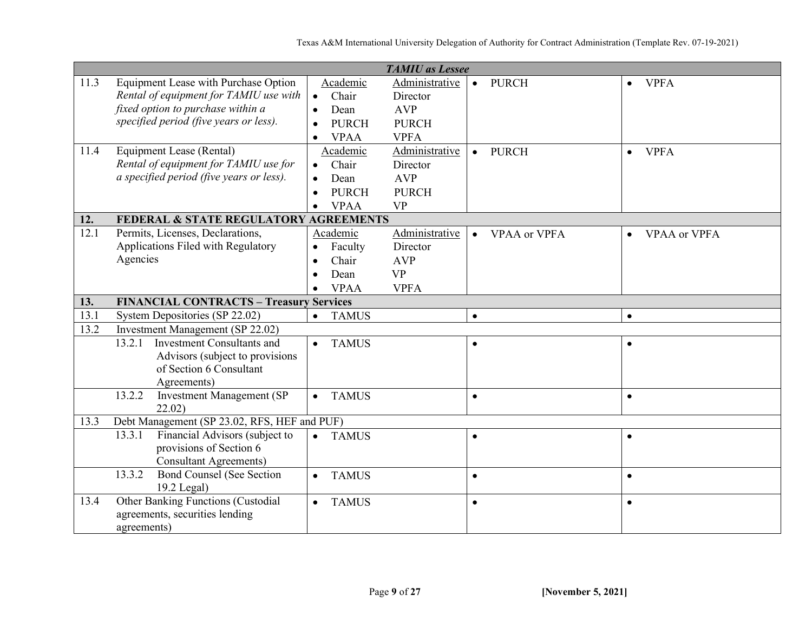|      |                                                                      |                           | <b>TAMIU</b> as Lessee |                                  |                                  |
|------|----------------------------------------------------------------------|---------------------------|------------------------|----------------------------------|----------------------------------|
| 11.3 | Equipment Lease with Purchase Option                                 | Academic                  | Administrative         | <b>PURCH</b><br>$\bullet$        | <b>VPFA</b><br>$\bullet$         |
|      | Rental of equipment for TAMIU use with                               | Chair<br>$\bullet$        | Director               |                                  |                                  |
|      | fixed option to purchase within a                                    | Dean                      | <b>AVP</b>             |                                  |                                  |
|      | specified period (five years or less).                               | <b>PURCH</b>              | <b>PURCH</b>           |                                  |                                  |
|      |                                                                      | <b>VPAA</b><br>$\bullet$  | <b>VPFA</b>            |                                  |                                  |
| 11.4 | Equipment Lease (Rental)                                             | Academic                  | Administrative         | <b>PURCH</b><br>$\bullet$        | <b>VPFA</b><br>$\bullet$         |
|      | Rental of equipment for TAMIU use for                                | Chair<br>$\bullet$        | Director               |                                  |                                  |
|      | a specified period (five years or less).                             | Dean<br>$\bullet$         | <b>AVP</b>             |                                  |                                  |
|      |                                                                      | <b>PURCH</b>              | <b>PURCH</b>           |                                  |                                  |
|      |                                                                      | <b>VPAA</b>               | <b>VP</b>              |                                  |                                  |
| 12.  | FEDERAL & STATE REGULATORY AGREEMENTS                                |                           |                        |                                  |                                  |
| 12.1 | Permits, Licenses, Declarations,                                     | Academic                  | Administrative         | <b>VPAA or VPFA</b><br>$\bullet$ | <b>VPAA</b> or VPFA<br>$\bullet$ |
|      | Applications Filed with Regulatory                                   | Faculty<br>$\bullet$      | Director               |                                  |                                  |
|      | Agencies                                                             | Chair<br>$\bullet$        | <b>AVP</b>             |                                  |                                  |
|      |                                                                      | Dean<br>$\bullet$         | <b>VP</b>              |                                  |                                  |
|      |                                                                      | <b>VPAA</b>               | <b>VPFA</b>            |                                  |                                  |
| 13.  | <b>FINANCIAL CONTRACTS - Treasury Services</b>                       |                           |                        |                                  |                                  |
|      |                                                                      |                           |                        |                                  |                                  |
| 13.1 | System Depositories (SP 22.02)                                       | <b>TAMUS</b><br>$\bullet$ |                        | $\bullet$                        | $\bullet$                        |
| 13.2 | <b>Investment Management (SP 22.02)</b>                              |                           |                        |                                  |                                  |
|      | <b>Investment Consultants and</b><br>13.2.1                          | <b>TAMUS</b><br>$\bullet$ |                        | $\bullet$                        | $\bullet$                        |
|      | Advisors (subject to provisions)                                     |                           |                        |                                  |                                  |
|      | of Section 6 Consultant                                              |                           |                        |                                  |                                  |
|      | Agreements)                                                          |                           |                        |                                  |                                  |
|      | <b>Investment Management (SP)</b><br>13.2.2                          | <b>TAMUS</b><br>$\bullet$ |                        | $\bullet$                        | $\bullet$                        |
|      | 22.02)                                                               |                           |                        |                                  |                                  |
| 13.3 | Debt Management (SP 23.02, RFS, HEF and PUF)                         |                           |                        |                                  |                                  |
|      | Financial Advisors (subject to<br>13.3.1                             | <b>TAMUS</b><br>$\bullet$ |                        | $\bullet$                        | $\bullet$                        |
|      | provisions of Section 6                                              |                           |                        |                                  |                                  |
|      | <b>Consultant Agreements</b> )                                       |                           |                        |                                  |                                  |
|      | <b>Bond Counsel (See Section</b><br>13.3.2                           | <b>TAMUS</b><br>$\bullet$ |                        | $\bullet$                        | $\bullet$                        |
|      | $19.2$ Legal)                                                        |                           |                        | $\bullet$                        |                                  |
| 13.4 | Other Banking Functions (Custodial<br>agreements, securities lending | <b>TAMUS</b><br>$\bullet$ |                        |                                  | $\bullet$                        |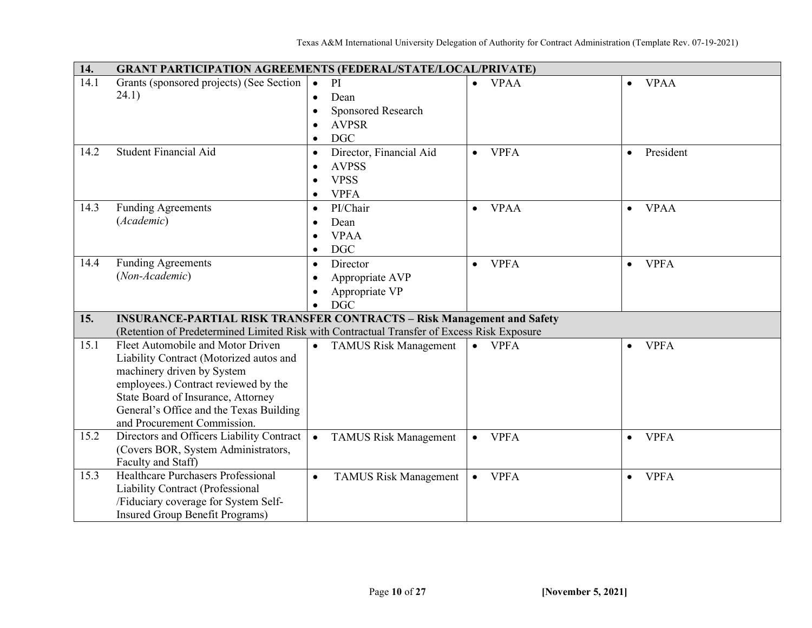| 14.  | <b>GRANT PARTICIPATION AGREEMENTS (FEDERAL/STATE/LOCAL/PRIVATE)</b>                        |           |                              |           |                |           |             |
|------|--------------------------------------------------------------------------------------------|-----------|------------------------------|-----------|----------------|-----------|-------------|
| 14.1 | Grants (sponsored projects) (See Section                                                   | $\bullet$ | PI                           | $\bullet$ | <b>VPAA</b>    | $\bullet$ | <b>VPAA</b> |
|      | 24.1)                                                                                      | $\bullet$ | Dean                         |           |                |           |             |
|      |                                                                                            |           | Sponsored Research           |           |                |           |             |
|      |                                                                                            |           | <b>AVPSR</b>                 |           |                |           |             |
|      |                                                                                            | $\bullet$ | <b>DGC</b>                   |           |                |           |             |
| 14.2 | <b>Student Financial Aid</b>                                                               | $\bullet$ | Director, Financial Aid      | $\bullet$ | <b>VPFA</b>    | $\bullet$ | President   |
|      |                                                                                            |           | <b>AVPSS</b>                 |           |                |           |             |
|      |                                                                                            |           | <b>VPSS</b>                  |           |                |           |             |
|      |                                                                                            | $\bullet$ | <b>VPFA</b>                  |           |                |           |             |
| 14.3 | <b>Funding Agreements</b>                                                                  | $\bullet$ | PI/Chair                     | $\bullet$ | <b>VPAA</b>    | $\bullet$ | <b>VPAA</b> |
|      | (Academic)                                                                                 |           | Dean                         |           |                |           |             |
|      |                                                                                            |           | <b>VPAA</b>                  |           |                |           |             |
|      |                                                                                            | $\bullet$ | <b>DGC</b>                   |           |                |           |             |
| 14.4 | <b>Funding Agreements</b>                                                                  | $\bullet$ | Director                     | $\bullet$ | <b>VPFA</b>    | $\bullet$ | <b>VPFA</b> |
|      | (Non-Academic)                                                                             |           | Appropriate AVP              |           |                |           |             |
|      |                                                                                            | $\bullet$ | Appropriate VP               |           |                |           |             |
|      |                                                                                            | $\bullet$ | <b>DGC</b>                   |           |                |           |             |
| 15.  | <b>INSURANCE-PARTIAL RISK TRANSFER CONTRACTS - Risk Management and Safety</b>              |           |                              |           |                |           |             |
|      | (Retention of Predetermined Limited Risk with Contractual Transfer of Excess Risk Exposure |           |                              |           |                |           |             |
| 15.1 | Fleet Automobile and Motor Driven                                                          |           | <b>TAMUS Risk Management</b> |           | $\bullet$ VPFA | $\bullet$ | <b>VPFA</b> |
|      | Liability Contract (Motorized autos and                                                    |           |                              |           |                |           |             |
|      | machinery driven by System                                                                 |           |                              |           |                |           |             |
|      | employees.) Contract reviewed by the                                                       |           |                              |           |                |           |             |
|      | State Board of Insurance, Attorney                                                         |           |                              |           |                |           |             |
|      | General's Office and the Texas Building                                                    |           |                              |           |                |           |             |
|      | and Procurement Commission.                                                                |           |                              |           |                |           |             |
| 15.2 | Directors and Officers Liability Contract<br>(Covers BOR, System Administrators,           | $\bullet$ | <b>TAMUS Risk Management</b> | $\bullet$ | <b>VPFA</b>    | $\bullet$ | <b>VPFA</b> |
|      | Faculty and Staff)                                                                         |           |                              |           |                |           |             |
| 15.3 | Healthcare Purchasers Professional                                                         | $\bullet$ | <b>TAMUS Risk Management</b> | $\bullet$ | <b>VPFA</b>    | $\bullet$ | <b>VPFA</b> |
|      | Liability Contract (Professional                                                           |           |                              |           |                |           |             |
|      | /Fiduciary coverage for System Self-                                                       |           |                              |           |                |           |             |
|      | Insured Group Benefit Programs)                                                            |           |                              |           |                |           |             |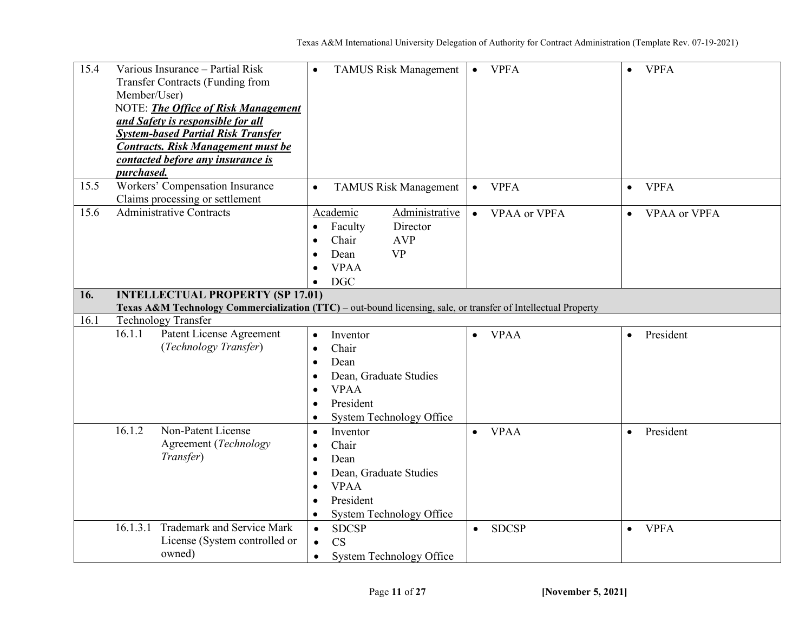| 15.4 | Various Insurance - Partial Risk<br>Transfer Contracts (Funding from<br>Member/User)<br>NOTE: The Office of Risk Management<br>and Safety is responsible for all<br><b>System-based Partial Risk Transfer</b><br><b>Contracts. Risk Management must be</b><br>contacted before any insurance is | <b>TAMUS Risk Management</b><br>$\bullet$                                                                                                                              | <b>VPFA</b><br>$\bullet$         | <b>VPFA</b><br>$\bullet$         |
|------|-------------------------------------------------------------------------------------------------------------------------------------------------------------------------------------------------------------------------------------------------------------------------------------------------|------------------------------------------------------------------------------------------------------------------------------------------------------------------------|----------------------------------|----------------------------------|
| 15.5 | purchased.<br>Workers' Compensation Insurance<br>Claims processing or settlement                                                                                                                                                                                                                | <b>TAMUS Risk Management</b><br>$\bullet$                                                                                                                              | <b>VPFA</b><br>$\bullet$         | <b>VPFA</b><br>$\bullet$         |
| 15.6 | <b>Administrative Contracts</b>                                                                                                                                                                                                                                                                 | Administrative<br>Academic<br>Director<br>Faculty<br>$\bullet$<br>Chair<br><b>AVP</b><br>$\bullet$<br><b>VP</b><br>Dean<br>$\bullet$<br><b>VPAA</b><br><b>DGC</b>      | <b>VPAA</b> or VPFA<br>$\bullet$ | <b>VPAA or VPFA</b><br>$\bullet$ |
| 16.  | <b>INTELLECTUAL PROPERTY (SP 17.01)</b>                                                                                                                                                                                                                                                         |                                                                                                                                                                        |                                  |                                  |
| 16.1 | Texas A&M Technology Commercialization (TTC) - out-bound licensing, sale, or transfer of Intellectual Property<br><b>Technology Transfer</b>                                                                                                                                                    |                                                                                                                                                                        |                                  |                                  |
|      | <b>Patent License Agreement</b><br>16.1.1<br>(Technology Transfer)                                                                                                                                                                                                                              | Inventor<br>$\bullet$<br>Chair<br>$\bullet$<br>Dean<br>$\bullet$<br>Dean, Graduate Studies<br><b>VPAA</b><br>$\bullet$<br>President<br><b>System Technology Office</b> | <b>VPAA</b><br>$\bullet$         | President<br>$\bullet$           |
|      | Non-Patent License<br>16.1.2<br>Agreement (Technology<br>Transfer)                                                                                                                                                                                                                              | Inventor<br>Chair<br>Dean<br>$\bullet$<br>Dean, Graduate Studies<br><b>VPAA</b><br>President<br>System Technology Office                                               | <b>VPAA</b><br>$\bullet$         | President<br>$\bullet$           |
|      | 16.1.3.1 Trademark and Service Mark<br>License (System controlled or<br>owned)                                                                                                                                                                                                                  | <b>SDCSP</b><br>$\bullet$<br>CS<br>$\bullet$<br><b>System Technology Office</b><br>$\bullet$                                                                           | <b>SDCSP</b><br>$\bullet$        | <b>VPFA</b><br>$\bullet$         |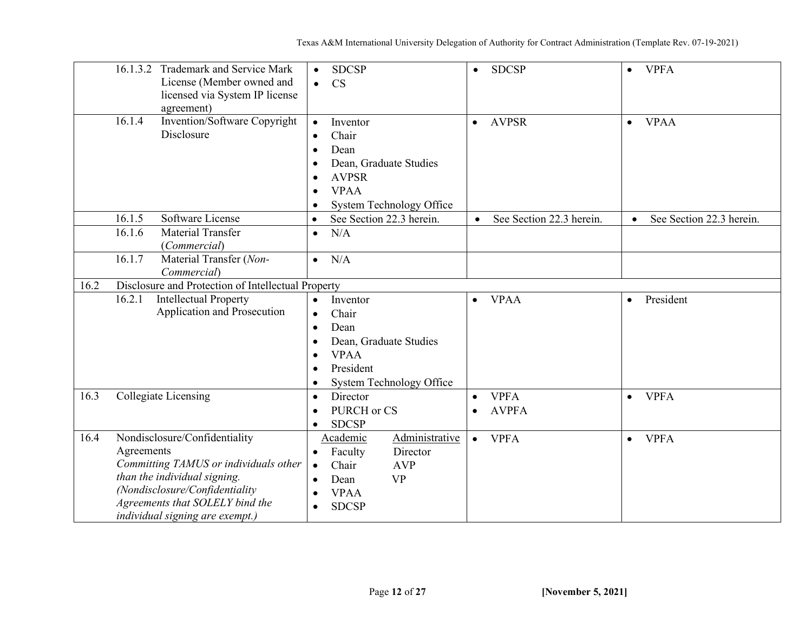|      | 16.1.3.2 Trademark and Service Mark<br>License (Member owned and<br>licensed via System IP license<br>agreement)                                                                                                             | <b>SDCSP</b><br>$\bullet$<br><b>CS</b><br>$\bullet$                                                                                                                              | <b>SDCSP</b><br>$\bullet$                             | <b>VPFA</b><br>$\bullet$              |
|------|------------------------------------------------------------------------------------------------------------------------------------------------------------------------------------------------------------------------------|----------------------------------------------------------------------------------------------------------------------------------------------------------------------------------|-------------------------------------------------------|---------------------------------------|
|      | 16.1.4<br>Invention/Software Copyright<br>Disclosure                                                                                                                                                                         | Inventor<br>$\bullet$<br>Chair<br>$\bullet$<br>Dean<br>$\bullet$<br>Dean, Graduate Studies<br><b>AVPSR</b><br><b>VPAA</b><br><b>System Technology Office</b>                     | <b>AVPSR</b><br>$\bullet$                             | <b>VPAA</b><br>$\bullet$              |
|      | 16.1.5<br>Software License                                                                                                                                                                                                   | See Section 22.3 herein.<br>$\bullet$                                                                                                                                            | See Section 22.3 herein.<br>$\bullet$                 | See Section 22.3 herein.<br>$\bullet$ |
|      | 16.1.6<br>Material Transfer<br>(Commercial)                                                                                                                                                                                  | N/A<br>$\bullet$                                                                                                                                                                 |                                                       |                                       |
|      | 16.1.7<br>Material Transfer (Non-<br>Commercial)                                                                                                                                                                             | N/A<br>$\bullet$                                                                                                                                                                 |                                                       |                                       |
| 16.2 | Disclosure and Protection of Intellectual Property                                                                                                                                                                           |                                                                                                                                                                                  |                                                       |                                       |
|      | 16.2.1<br><b>Intellectual Property</b><br>Application and Prosecution                                                                                                                                                        | Inventor<br>$\bullet$<br>Chair<br>$\bullet$<br>Dean<br>Dean, Graduate Studies<br>$\bullet$<br><b>VPAA</b><br>$\bullet$<br>President<br><b>System Technology Office</b>           | <b>VPAA</b><br>$\bullet$                              | President<br>$\bullet$                |
| 16.3 | Collegiate Licensing                                                                                                                                                                                                         | Director<br>$\bullet$<br>PURCH or CS<br>$\bullet$<br><b>SDCSP</b>                                                                                                                | <b>VPFA</b><br>$\bullet$<br><b>AVPFA</b><br>$\bullet$ | <b>VPFA</b><br>$\bullet$              |
| 16.4 | Nondisclosure/Confidentiality<br>Agreements<br>Committing TAMUS or individuals other<br>than the individual signing.<br>(Nondisclosure/Confidentiality<br>Agreements that SOLELY bind the<br>individual signing are exempt.) | Administrative<br>Academic<br>Director<br>Faculty<br>$\bullet$<br>Chair<br><b>AVP</b><br>$\bullet$<br><b>VP</b><br>Dean<br>$\bullet$<br><b>VPAA</b><br><b>SDCSP</b><br>$\bullet$ | <b>VPFA</b><br>$\bullet$                              | <b>VPFA</b><br>$\bullet$              |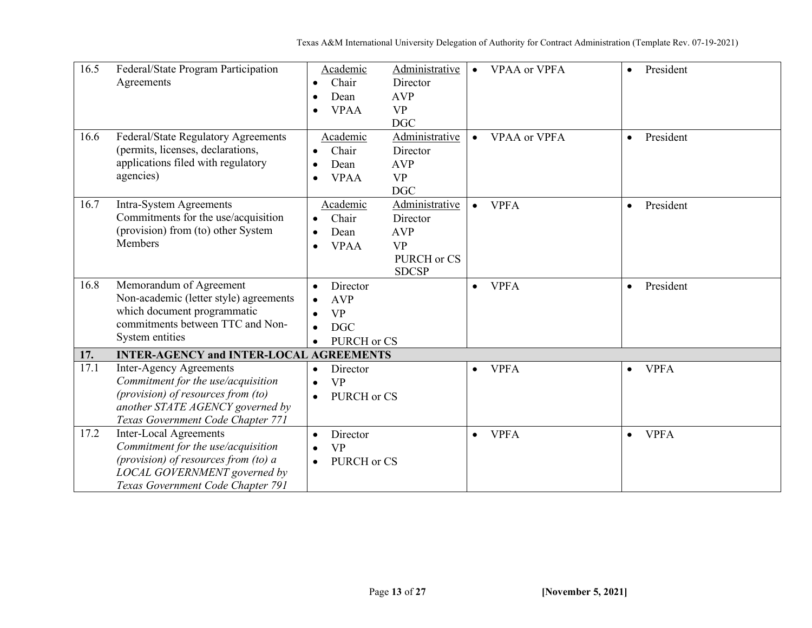| 16.5 | Federal/State Program Participation            | Academic                 | Administrative | <b>VPAA</b> or VPFA<br>$\bullet$ | President<br>$\bullet$   |  |
|------|------------------------------------------------|--------------------------|----------------|----------------------------------|--------------------------|--|
|      | Agreements                                     | Chair<br>$\bullet$       | Director       |                                  |                          |  |
|      |                                                | Dean<br>$\bullet$        | <b>AVP</b>     |                                  |                          |  |
|      |                                                | <b>VPAA</b><br>$\bullet$ | <b>VP</b>      |                                  |                          |  |
|      |                                                |                          | <b>DGC</b>     |                                  |                          |  |
| 16.6 | Federal/State Regulatory Agreements            | Academic                 | Administrative | <b>VPAA</b> or VPFA<br>$\bullet$ | President<br>$\bullet$   |  |
|      | (permits, licenses, declarations,              | Chair<br>$\bullet$       | Director       |                                  |                          |  |
|      | applications filed with regulatory             | Dean<br>$\bullet$        | <b>AVP</b>     |                                  |                          |  |
|      | agencies)                                      | <b>VPAA</b><br>$\bullet$ | <b>VP</b>      |                                  |                          |  |
|      |                                                |                          | <b>DGC</b>     |                                  |                          |  |
| 16.7 | Intra-System Agreements                        | Academic                 | Administrative | <b>VPFA</b><br>$\bullet$         | President<br>$\bullet$   |  |
|      | Commitments for the use/acquisition            | Chair<br>$\bullet$       | Director       |                                  |                          |  |
|      | (provision) from (to) other System             | Dean<br>$\bullet$        | <b>AVP</b>     |                                  |                          |  |
|      | Members                                        | <b>VPAA</b><br>$\bullet$ | <b>VP</b>      |                                  |                          |  |
|      |                                                |                          | PURCH or CS    |                                  |                          |  |
|      |                                                |                          | <b>SDCSP</b>   |                                  |                          |  |
| 16.8 | Memorandum of Agreement                        | Director                 |                | <b>VPFA</b><br>$\bullet$         | President<br>$\bullet$   |  |
|      | Non-academic (letter style) agreements         | <b>AVP</b><br>$\bullet$  |                |                                  |                          |  |
|      | which document programmatic                    | <b>VP</b><br>$\bullet$   |                |                                  |                          |  |
|      | commitments between TTC and Non-               | <b>DGC</b><br>$\bullet$  |                |                                  |                          |  |
|      | System entities                                | PURCH or CS<br>$\bullet$ |                |                                  |                          |  |
| 17.  | <b>INTER-AGENCY and INTER-LOCAL AGREEMENTS</b> |                          |                |                                  |                          |  |
| 17.1 | <b>Inter-Agency Agreements</b>                 | Director<br>$\bullet$    |                | <b>VPFA</b><br>$\bullet$         | <b>VPFA</b><br>$\bullet$ |  |
|      | Commitment for the use/acquisition             | <b>VP</b><br>$\bullet$   |                |                                  |                          |  |
|      | (provision) of resources from (to)             | PURCH or CS<br>$\bullet$ |                |                                  |                          |  |
|      | another STATE AGENCY governed by               |                          |                |                                  |                          |  |
|      | Texas Government Code Chapter 771              |                          |                |                                  |                          |  |
| 17.2 | <b>Inter-Local Agreements</b>                  | Director<br>$\bullet$    |                | <b>VPFA</b><br>$\bullet$         | <b>VPFA</b><br>$\bullet$ |  |
|      | Commitment for the use/acquisition             | <b>VP</b>                |                |                                  |                          |  |
|      | (provision) of resources from (to) a           | PURCH or CS<br>$\bullet$ |                |                                  |                          |  |
|      | LOCAL GOVERNMENT governed by                   |                          |                |                                  |                          |  |
|      | Texas Government Code Chapter 791              |                          |                |                                  |                          |  |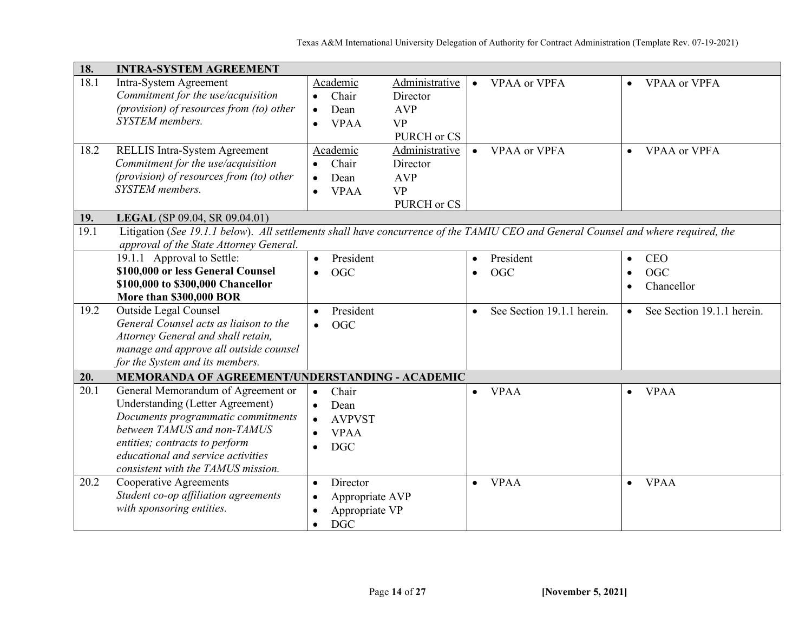| 18.  | <b>INTRA-SYSTEM AGREEMENT</b>                                                                                                                                                 |                                |                            |                                         |           |                            |
|------|-------------------------------------------------------------------------------------------------------------------------------------------------------------------------------|--------------------------------|----------------------------|-----------------------------------------|-----------|----------------------------|
| 18.1 | Intra-System Agreement<br>Commitment for the use/acquisition                                                                                                                  | Academic<br>Chair<br>$\bullet$ | Administrative<br>Director | <b>VPAA</b> or VPFA<br>$\bullet$        | $\bullet$ | <b>VPAA</b> or VPFA        |
|      | (provision) of resources from (to) other                                                                                                                                      | Dean<br>$\bullet$              | <b>AVP</b>                 |                                         |           |                            |
|      | <b>SYSTEM</b> members.                                                                                                                                                        | <b>VPAA</b><br>$\bullet$       | <b>VP</b>                  |                                         |           |                            |
|      |                                                                                                                                                                               |                                | PURCH or CS                |                                         |           |                            |
| 18.2 | <b>RELLIS Intra-System Agreement</b>                                                                                                                                          | Academic                       | Administrative             | <b>VPAA</b> or VPFA<br>$\bullet$        | $\bullet$ | <b>VPAA</b> or <b>VPFA</b> |
|      | Commitment for the use/acquisition                                                                                                                                            | Chair<br>$\bullet$             | Director                   |                                         |           |                            |
|      | (provision) of resources from (to) other                                                                                                                                      | Dean<br>$\bullet$              | <b>AVP</b>                 |                                         |           |                            |
|      | SYSTEM members.                                                                                                                                                               | <b>VPAA</b><br>$\bullet$       | <b>VP</b>                  |                                         |           |                            |
|      |                                                                                                                                                                               |                                | PURCH or CS                |                                         |           |                            |
| 19.  | LEGAL (SP 09.04, SR 09.04.01)                                                                                                                                                 |                                |                            |                                         |           |                            |
| 19.1 | Litigation (See 19.1.1 below). All settlements shall have concurrence of the TAMIU CEO and General Counsel and where required, the<br>approval of the State Attorney General. |                                |                            |                                         |           |                            |
|      | 19.1.1 Approval to Settle:                                                                                                                                                    | President<br>$\bullet$         |                            | President<br>$\bullet$                  | $\bullet$ | <b>CEO</b>                 |
|      | \$100,000 or less General Counsel                                                                                                                                             | <b>OGC</b><br>$\bullet$        |                            | <b>OGC</b><br>$\bullet$                 | $\bullet$ | <b>OGC</b>                 |
|      | \$100,000 to \$300,000 Chancellor                                                                                                                                             |                                |                            |                                         | $\bullet$ | Chancellor                 |
|      | More than \$300,000 BOR                                                                                                                                                       |                                |                            |                                         |           |                            |
| 19.2 | <b>Outside Legal Counsel</b>                                                                                                                                                  | President<br>$\bullet$         |                            | See Section 19.1.1 herein.<br>$\bullet$ | $\bullet$ | See Section 19.1.1 herein. |
|      | General Counsel acts as liaison to the                                                                                                                                        | <b>OGC</b><br>$\bullet$        |                            |                                         |           |                            |
|      | Attorney General and shall retain,                                                                                                                                            |                                |                            |                                         |           |                            |
|      | manage and approve all outside counsel                                                                                                                                        |                                |                            |                                         |           |                            |
|      | for the System and its members.                                                                                                                                               |                                |                            |                                         |           |                            |
| 20.  | MEMORANDA OF AGREEMENT/UNDERSTANDING - ACADEMIC                                                                                                                               |                                |                            |                                         |           |                            |
| 20.1 | General Memorandum of Agreement or                                                                                                                                            | Chair<br>$\bullet$             |                            | <b>VPAA</b><br>$\bullet$                | $\bullet$ | <b>VPAA</b>                |
|      | <b>Understanding (Letter Agreement)</b>                                                                                                                                       | Dean<br>$\bullet$              |                            |                                         |           |                            |
|      | Documents programmatic commitments                                                                                                                                            | <b>AVPVST</b><br>$\bullet$     |                            |                                         |           |                            |
|      | between TAMUS and non-TAMUS                                                                                                                                                   | <b>VPAA</b><br>$\bullet$       |                            |                                         |           |                            |
|      | entities; contracts to perform                                                                                                                                                | <b>DGC</b><br>$\bullet$        |                            |                                         |           |                            |
|      | educational and service activities                                                                                                                                            |                                |                            |                                         |           |                            |
| 20.2 | consistent with the TAMUS mission.<br>Cooperative Agreements                                                                                                                  |                                |                            |                                         |           |                            |
|      | Student co-op affiliation agreements                                                                                                                                          | Director<br>$\bullet$          |                            | <b>VPAA</b><br>$\bullet$                |           | $\bullet$ VPAA             |
|      | with sponsoring entities.                                                                                                                                                     | Appropriate AVP<br>$\bullet$   |                            |                                         |           |                            |
|      |                                                                                                                                                                               | Appropriate VP<br>$\bullet$    |                            |                                         |           |                            |
|      |                                                                                                                                                                               | <b>DGC</b><br>$\bullet$        |                            |                                         |           |                            |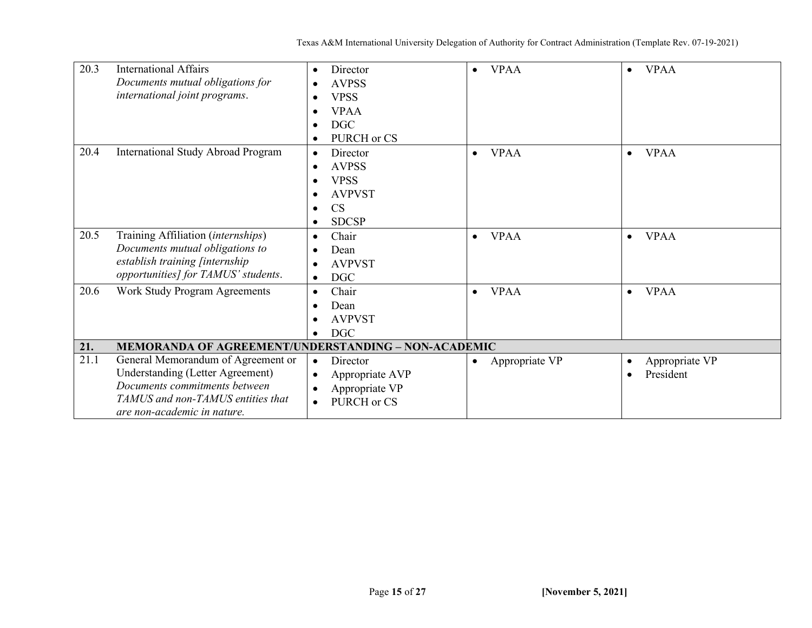| 20.3 | <b>International Affairs</b>                               | Director                     | <b>VPAA</b><br>$\bullet$    | <b>VPAA</b><br>$\bullet$ |
|------|------------------------------------------------------------|------------------------------|-----------------------------|--------------------------|
|      | Documents mutual obligations for                           | <b>AVPSS</b><br>$\bullet$    |                             |                          |
|      | international joint programs.                              | <b>VPSS</b><br>٠             |                             |                          |
|      |                                                            | <b>VPAA</b><br>$\bullet$     |                             |                          |
|      |                                                            | <b>DGC</b><br>$\bullet$      |                             |                          |
|      |                                                            | PURCH or CS<br>$\bullet$     |                             |                          |
| 20.4 | <b>International Study Abroad Program</b>                  | Director<br>$\bullet$        | <b>VPAA</b><br>$\bullet$    | <b>VPAA</b><br>$\bullet$ |
|      |                                                            | <b>AVPSS</b><br>$\bullet$    |                             |                          |
|      |                                                            | <b>VPSS</b>                  |                             |                          |
|      |                                                            | <b>AVPVST</b>                |                             |                          |
|      |                                                            | <b>CS</b><br>$\bullet$       |                             |                          |
|      |                                                            | <b>SDCSP</b><br>$\bullet$    |                             |                          |
| 20.5 | Training Affiliation (internships)                         | Chair<br>$\bullet$           | <b>VPAA</b><br>$\bullet$    | <b>VPAA</b><br>$\bullet$ |
|      | Documents mutual obligations to                            | Dean                         |                             |                          |
|      | establish training [internship                             | <b>AVPVST</b><br>$\bullet$   |                             |                          |
|      | opportunities] for TAMUS' students.                        | <b>DGC</b><br>$\bullet$      |                             |                          |
| 20.6 | Work Study Program Agreements                              | Chair<br>$\bullet$           | <b>VPAA</b><br>$\bullet$    | <b>VPAA</b><br>$\bullet$ |
|      |                                                            | Dean                         |                             |                          |
|      |                                                            | <b>AVPVST</b><br>$\bullet$   |                             |                          |
|      |                                                            | <b>DGC</b>                   |                             |                          |
| 21.  | <b>MEMORANDA OF AGREEMENT/UNDERSTANDING - NON-ACADEMIC</b> |                              |                             |                          |
| 21.1 | General Memorandum of Agreement or                         | Director<br>$\bullet$        | Appropriate VP<br>$\bullet$ | Appropriate VP           |
|      | Understanding (Letter Agreement)                           | Appropriate AVP<br>$\bullet$ |                             | President<br>$\bullet$   |
|      | Documents commitments between                              | Appropriate VP<br>$\bullet$  |                             |                          |
|      | TAMUS and non-TAMUS entities that                          | PURCH or CS<br>$\bullet$     |                             |                          |
|      | are non-academic in nature.                                |                              |                             |                          |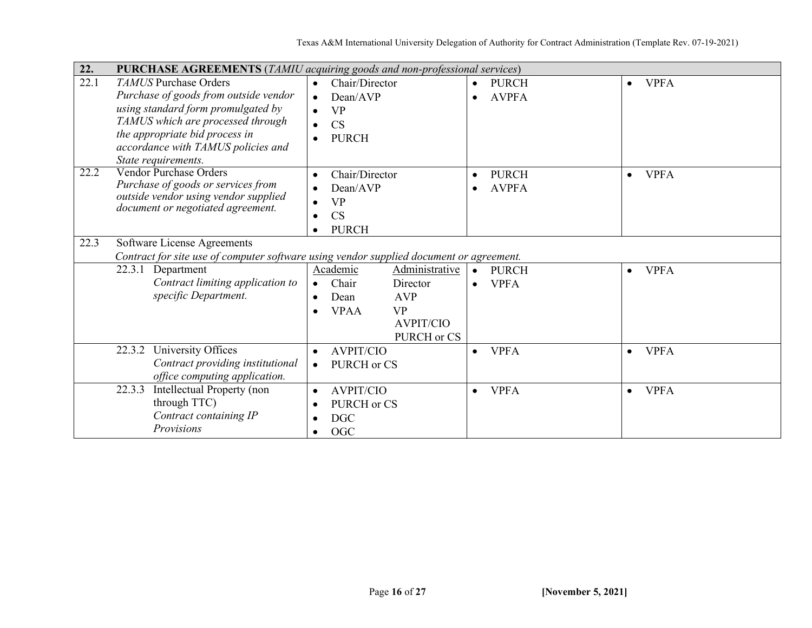| 22.               | PURCHASE AGREEMENTS (TAMIU acquiring goods and non-professional services)                                                                        |                                                                                                                                                                             |                                                       |                          |  |  |
|-------------------|--------------------------------------------------------------------------------------------------------------------------------------------------|-----------------------------------------------------------------------------------------------------------------------------------------------------------------------------|-------------------------------------------------------|--------------------------|--|--|
| 22.1              | <b>TAMUS</b> Purchase Orders<br>Purchase of goods from outside vendor<br>using standard form promulgated by<br>TAMUS which are processed through | Chair/Director<br>$\bullet$<br>Dean/AVP<br>$\bullet$<br><b>VP</b><br>CS<br>$\bullet$                                                                                        | <b>PURCH</b><br>$\bullet$<br><b>AVPFA</b>             | <b>VPFA</b><br>$\bullet$ |  |  |
|                   | the appropriate bid process in<br>accordance with TAMUS policies and<br>State requirements.                                                      | <b>PURCH</b><br>$\bullet$                                                                                                                                                   |                                                       |                          |  |  |
| $\overline{2}2.2$ | <b>Vendor Purchase Orders</b><br>Purchase of goods or services from<br>outside vendor using vendor supplied<br>document or negotiated agreement. | Chair/Director<br>$\bullet$<br>Dean/AVP<br><b>VP</b><br>CS<br><b>PURCH</b><br>$\bullet$                                                                                     | <b>PURCH</b><br>$\bullet$<br><b>AVPFA</b>             | <b>VPFA</b><br>$\bullet$ |  |  |
| 22.3              | Software License Agreements<br>Contract for site use of computer software using vendor supplied document or agreement.                           |                                                                                                                                                                             |                                                       |                          |  |  |
|                   | 22.3.1 Department<br>Contract limiting application to<br>specific Department.                                                                    | Academic<br>Administrative<br>Chair<br>Director<br>$\bullet$<br><b>AVP</b><br>Dean<br>$\bullet$<br><b>VP</b><br><b>VPAA</b><br>$\bullet$<br><b>AVPIT/CIO</b><br>PURCH or CS | <b>PURCH</b><br>$\bullet$<br><b>VPFA</b><br>$\bullet$ | <b>VPFA</b><br>$\bullet$ |  |  |
|                   | University Offices<br>22.3.2<br>Contract providing institutional<br>office computing application.                                                | <b>AVPIT/CIO</b><br>$\bullet$<br>PURCH or CS<br>$\bullet$                                                                                                                   | <b>VPFA</b><br>$\bullet$                              | <b>VPFA</b><br>$\bullet$ |  |  |
|                   | Intellectual Property (non<br>22.3.3<br>through TTC)<br>Contract containing IP<br>Provisions                                                     | <b>AVPIT/CIO</b><br>$\bullet$<br>PURCH or CS<br><b>DGC</b><br>٠<br><b>OGC</b><br>$\bullet$                                                                                  | <b>VPFA</b><br>$\bullet$                              | <b>VPFA</b><br>$\bullet$ |  |  |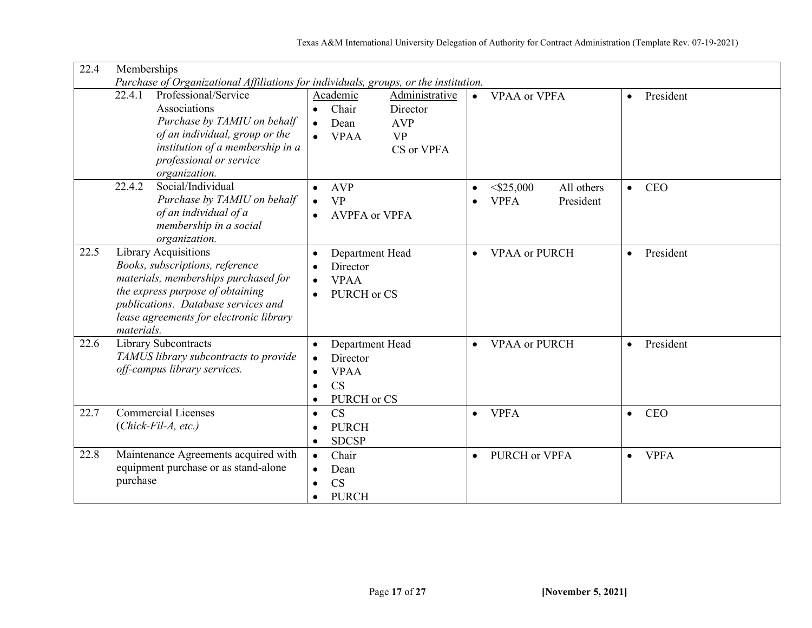| 22.4 | Memberships                                                                          |                                   |                                         |                          |  |
|------|--------------------------------------------------------------------------------------|-----------------------------------|-----------------------------------------|--------------------------|--|
|      | Purchase of Organizational Affiliations for individuals, groups, or the institution. |                                   |                                         |                          |  |
|      | Professional/Service<br>22.4.1                                                       | Administrative<br>Academic        | <b>VPAA or VPFA</b><br>$\bullet$        | President<br>$\bullet$   |  |
|      | Associations                                                                         | Chair<br>Director<br>$\bullet$    |                                         |                          |  |
|      | Purchase by TAMIU on behalf                                                          | <b>AVP</b><br>Dean<br>$\bullet$   |                                         |                          |  |
|      | of an individual, group or the                                                       | <b>VP</b><br><b>VPAA</b>          |                                         |                          |  |
|      | institution of a membership in a                                                     | CS or VPFA                        |                                         |                          |  |
|      | professional or service                                                              |                                   |                                         |                          |  |
|      | organization.                                                                        |                                   |                                         |                          |  |
|      | Social/Individual<br>22.4.2                                                          | <b>AVP</b><br>$\bullet$           | $<$ \$25,000<br>All others<br>$\bullet$ | <b>CEO</b><br>$\bullet$  |  |
|      | Purchase by TAMIU on behalf                                                          | <b>VP</b><br>$\bullet$            | <b>VPFA</b><br>President<br>$\bullet$   |                          |  |
|      | of an individual of a                                                                | <b>AVPFA</b> or VPFA<br>$\bullet$ |                                         |                          |  |
|      | membership in a social                                                               |                                   |                                         |                          |  |
|      | organization.                                                                        |                                   |                                         |                          |  |
| 22.5 | <b>Library Acquisitions</b>                                                          | Department Head                   | <b>VPAA</b> or PURCH<br>$\bullet$       | President<br>$\bullet$   |  |
|      | Books, subscriptions, reference                                                      | Director                          |                                         |                          |  |
|      | materials, memberships purchased for                                                 | <b>VPAA</b>                       |                                         |                          |  |
|      | the express purpose of obtaining                                                     | PURCH or CS                       |                                         |                          |  |
|      | publications. Database services and                                                  |                                   |                                         |                          |  |
|      | lease agreements for electronic library                                              |                                   |                                         |                          |  |
|      | materials.                                                                           |                                   |                                         |                          |  |
| 22.6 | Library Subcontracts                                                                 | Department Head<br>$\bullet$      | <b>VPAA</b> or PURCH<br>$\bullet$       | President<br>$\bullet$   |  |
|      | TAMUS library subcontracts to provide                                                | Director                          |                                         |                          |  |
|      | off-campus library services.                                                         | <b>VPAA</b>                       |                                         |                          |  |
|      |                                                                                      | <b>CS</b>                         |                                         |                          |  |
|      |                                                                                      | PURCH or CS                       |                                         |                          |  |
| 22.7 | <b>Commercial Licenses</b>                                                           | <b>CS</b><br>$\bullet$            | <b>VPFA</b><br>$\bullet$                | <b>CEO</b><br>$\bullet$  |  |
|      | $(Chick$ -Fil-A, etc.)                                                               | <b>PURCH</b>                      |                                         |                          |  |
|      |                                                                                      | <b>SDCSP</b><br>$\bullet$         |                                         |                          |  |
| 22.8 | Maintenance Agreements acquired with                                                 | Chair<br>$\bullet$                | PURCH or VPFA                           | <b>VPFA</b><br>$\bullet$ |  |
|      | equipment purchase or as stand-alone                                                 |                                   | $\bullet$                               |                          |  |
|      | purchase                                                                             | Dean                              |                                         |                          |  |
|      |                                                                                      | <b>CS</b><br>$\bullet$            |                                         |                          |  |
|      |                                                                                      | <b>PURCH</b>                      |                                         |                          |  |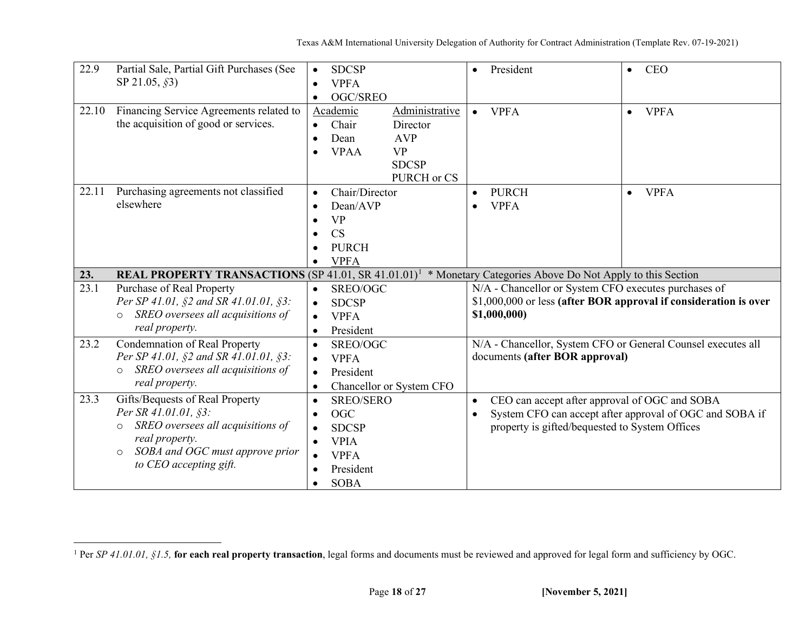<span id="page-17-0"></span>

| 22.9  | Partial Sale, Partial Gift Purchases (See<br>SP 21.05, §3)                                                                                                                                        | <b>SDCSP</b><br>$\bullet$<br><b>VPFA</b><br>$\bullet$<br>OGC/SREO<br>$\bullet$                                                                                            |                                                                                      | President<br>$\bullet$                                                                                                    | <b>CEO</b><br>$\bullet$                                          |
|-------|---------------------------------------------------------------------------------------------------------------------------------------------------------------------------------------------------|---------------------------------------------------------------------------------------------------------------------------------------------------------------------------|--------------------------------------------------------------------------------------|---------------------------------------------------------------------------------------------------------------------------|------------------------------------------------------------------|
| 22.10 | Financing Service Agreements related to<br>the acquisition of good or services.                                                                                                                   | Academic<br>Chair<br>$\bullet$<br>Dean<br>$\bullet$<br><b>VPAA</b><br>$\bullet$                                                                                           | Administrative<br>Director<br><b>AVP</b><br><b>VP</b><br><b>SDCSP</b><br>PURCH or CS | <b>VPFA</b><br>$\bullet$                                                                                                  | <b>VPFA</b><br>$\bullet$                                         |
| 22.11 | Purchasing agreements not classified<br>elsewhere                                                                                                                                                 | Chair/Director<br>$\bullet$<br>Dean/AVP<br><b>VP</b><br>$\bullet$<br><b>CS</b><br>$\bullet$<br><b>PURCH</b><br>$\bullet$<br><b>VPFA</b>                                   |                                                                                      | <b>PURCH</b><br>$\bullet$<br><b>VPFA</b><br>$\bullet$                                                                     | <b>VPFA</b><br>$\bullet$                                         |
| 23.   | REAL PROPERTY TRANSACTIONS (SP 41.01, SR 41.01.01) <sup>1</sup> * Monetary Categories Above Do Not Apply to this Section                                                                          |                                                                                                                                                                           |                                                                                      |                                                                                                                           |                                                                  |
| 23.1  | Purchase of Real Property<br>Per SP 41.01, §2 and SR 41.01.01, §3:<br>SREO oversees all acquisitions of<br>$\circ$<br>real property.                                                              | SREO/OGC<br>$\bullet$<br><b>SDCSP</b><br>$\bullet$<br><b>VPFA</b><br>$\bullet$<br>President                                                                               |                                                                                      | N/A - Chancellor or System CFO executes purchases of<br>\$1,000,000)                                                      | \$1,000,000 or less (after BOR approval if consideration is over |
| 23.2  | <b>Condemnation of Real Property</b><br>Per SP 41.01, §2 and SR 41.01.01, §3:<br>SREO oversees all acquisitions of<br>$\circ$<br>real property.                                                   | SREO/OGC<br>$\bullet$<br><b>VPFA</b><br>$\bullet$<br>President<br>$\bullet$<br>Chancellor or System CFO<br>$\bullet$                                                      |                                                                                      | N/A - Chancellor, System CFO or General Counsel executes all<br>documents (after BOR approval)                            |                                                                  |
| 23.3  | Gifts/Bequests of Real Property<br>Per SR 41.01.01, §3:<br>SREO oversees all acquisitions of<br>$\circ$<br>real property.<br>SOBA and OGC must approve prior<br>$\circ$<br>to CEO accepting gift. | <b>SREO/SERO</b><br>$\bullet$<br><b>OGC</b><br>$\bullet$<br><b>SDCSP</b><br><b>VPIA</b><br>$\bullet$<br><b>VPFA</b><br>$\bullet$<br>President<br><b>SOBA</b><br>$\bullet$ |                                                                                      | CEO can accept after approval of OGC and SOBA<br>$\bullet$<br>$\bullet$<br>property is gifted/bequested to System Offices | System CFO can accept after approval of OGC and SOBA if          |

<sup>&</sup>lt;sup>1</sup> Per SP 41.01.01, §1.5, for each real property transaction, legal forms and documents must be reviewed and approved for legal form and sufficiency by OGC.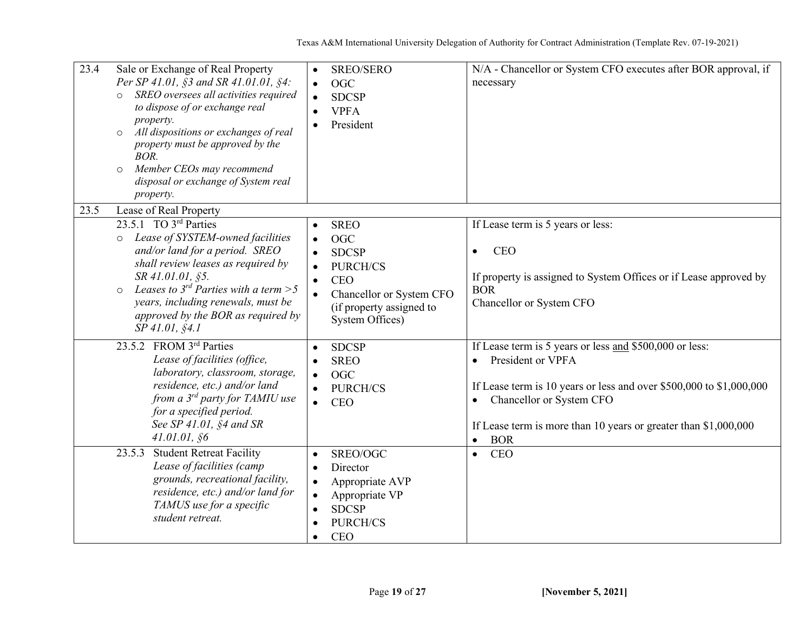| 23.4 | Sale or Exchange of Real Property<br>Per SP 41.01, §3 and SR 41.01.01, §4:<br>SREO oversees all activities required<br>to dispose of or exchange real<br>property.<br>All dispositions or exchanges of real<br>$\circ$<br>property must be approved by the<br>BOR.<br>Member CEOs may recommend<br>$\circ$<br>disposal or exchange of System real<br>property. | $\bullet$<br>$\bullet$<br>$\bullet$ | SREO/SERO<br><b>OGC</b><br><b>SDCSP</b><br><b>VPFA</b><br>President                                                                                   | N/A - Chancellor or System CFO executes after BOR approval, if<br>necessary                                                                                                                                                                                                                                                           |
|------|----------------------------------------------------------------------------------------------------------------------------------------------------------------------------------------------------------------------------------------------------------------------------------------------------------------------------------------------------------------|-------------------------------------|-------------------------------------------------------------------------------------------------------------------------------------------------------|---------------------------------------------------------------------------------------------------------------------------------------------------------------------------------------------------------------------------------------------------------------------------------------------------------------------------------------|
| 23.5 | Lease of Real Property                                                                                                                                                                                                                                                                                                                                         |                                     |                                                                                                                                                       |                                                                                                                                                                                                                                                                                                                                       |
|      | 23.5.1 TO 3rd Parties<br>o Lease of SYSTEM-owned facilities<br>and/or land for a period. SREO<br>shall review leases as required by<br>SR 41.01.01, §5.<br>Leases to $3^{rd}$ Parties with a term > 5<br>$\circ$<br>years, including renewals, must be<br>approved by the BOR as required by<br>$SP$ 41.01, $$4.1$                                             | $\bullet$                           | <b>SREO</b><br><b>OGC</b><br><b>SDCSP</b><br><b>PURCH/CS</b><br><b>CEO</b><br>Chancellor or System CFO<br>(if property assigned to<br>System Offices) | If Lease term is 5 years or less:<br><b>CEO</b><br>$\bullet$<br>If property is assigned to System Offices or if Lease approved by<br><b>BOR</b><br>Chancellor or System CFO                                                                                                                                                           |
|      | 23.5.2 FROM 3rd Parties<br>Lease of facilities (office,<br>laboratory, classroom, storage,<br>residence, etc.) and/or land<br>from a $3^{rd}$ party for TAMIU use<br>for a specified period.<br>See SP 41.01, §4 and SR<br>41.01.01, \$6<br><b>Student Retreat Facility</b><br>23.5.3                                                                          | $\bullet$<br>$\bullet$              | <b>SDCSP</b><br><b>SREO</b><br><b>OGC</b><br>PURCH/CS<br><b>CEO</b><br>SREO/OGC                                                                       | If Lease term is 5 years or less and \$500,000 or less:<br>President or VPFA<br>$\bullet$<br>If Lease term is 10 years or less and over $$500,000$ to $$1,000,000$<br>Chancellor or System CFO<br>$\bullet$<br>If Lease term is more than 10 years or greater than $$1,000,000$<br><b>BOR</b><br>$\bullet$<br><b>CEO</b><br>$\bullet$ |
|      | Lease of facilities (camp<br>grounds, recreational facility,<br>residence, etc.) and/or land for<br>TAMUS use for a specific<br>student retreat.                                                                                                                                                                                                               | $\bullet$                           | Director<br>Appropriate AVP<br>Appropriate VP<br><b>SDCSP</b><br>PURCH/CS<br><b>CEO</b>                                                               |                                                                                                                                                                                                                                                                                                                                       |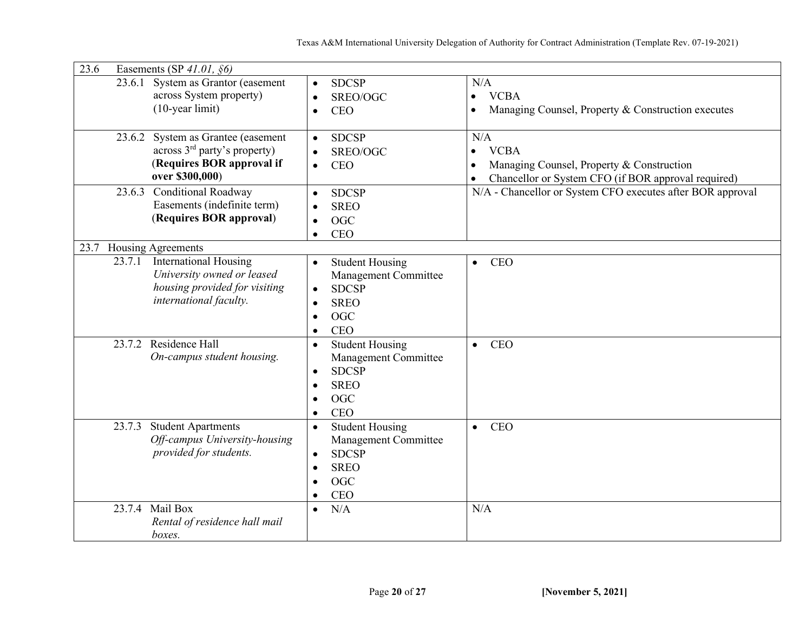| 23.6<br>Easements (SP $41.01$ , $§6)$                                                                                                                                                  |                                                                                                                                                                                                                             |                                                                                                                                                  |  |  |  |  |
|----------------------------------------------------------------------------------------------------------------------------------------------------------------------------------------|-----------------------------------------------------------------------------------------------------------------------------------------------------------------------------------------------------------------------------|--------------------------------------------------------------------------------------------------------------------------------------------------|--|--|--|--|
| System as Grantor (easement<br>23.6.1<br>across System property)<br>$(10$ -year limit)                                                                                                 | <b>SDCSP</b><br>$\bullet$<br>SREO/OGC<br>$\bullet$<br><b>CEO</b><br>$\bullet$                                                                                                                                               | N/A<br><b>VCBA</b><br>$\bullet$<br>Managing Counsel, Property & Construction executes                                                            |  |  |  |  |
| 23.6.2 System as Grantee (easement<br>across 3 <sup>rd</sup> party's property)<br>(Requires BOR approval if<br>over \$300,000)                                                         | <b>SDCSP</b><br>$\bullet$<br>SREO/OGC<br>$\bullet$<br><b>CEO</b><br>$\bullet$                                                                                                                                               | N/A<br><b>VCBA</b><br>$\bullet$<br>Managing Counsel, Property & Construction<br>Chancellor or System CFO (if BOR approval required)<br>$\bullet$ |  |  |  |  |
| <b>Conditional Roadway</b><br>23.6.3<br>Easements (indefinite term)<br>(Requires BOR approval)                                                                                         | <b>SDCSP</b><br>$\bullet$<br><b>SREO</b><br>$\bullet$<br><b>OGC</b><br>$\bullet$<br><b>CEO</b><br>$\bullet$                                                                                                                 | N/A - Chancellor or System CFO executes after BOR approval                                                                                       |  |  |  |  |
| Housing Agreements<br>23.7                                                                                                                                                             |                                                                                                                                                                                                                             |                                                                                                                                                  |  |  |  |  |
| <b>International Housing</b><br>23.7.1<br>University owned or leased<br>housing provided for visiting<br>international faculty.<br>23.7.2 Residence Hall<br>On-campus student housing. | <b>Student Housing</b><br>$\bullet$<br>Management Committee<br><b>SDCSP</b><br>$\bullet$<br><b>SREO</b><br>$\bullet$<br>OGC<br>$\bullet$<br>CEO<br>$\bullet$<br><b>Student Housing</b><br>$\bullet$<br>Management Committee | <b>CEO</b><br>$\bullet$<br><b>CEO</b><br>$\bullet$                                                                                               |  |  |  |  |
|                                                                                                                                                                                        | <b>SDCSP</b><br>$\bullet$<br><b>SREO</b><br>$\bullet$<br><b>OGC</b><br>$\bullet$<br><b>CEO</b><br>$\bullet$                                                                                                                 |                                                                                                                                                  |  |  |  |  |
| <b>Student Apartments</b><br>23.7.3<br>Off-campus University-housing<br>provided for students.                                                                                         | <b>Student Housing</b><br>$\bullet$<br>Management Committee<br><b>SDCSP</b><br>$\bullet$<br><b>SREO</b><br>$\bullet$<br><b>OGC</b><br>$\bullet$<br>CEO<br>$\bullet$                                                         | <b>CEO</b><br>$\bullet$                                                                                                                          |  |  |  |  |
| 23.7.4 Mail $\overline{Box}$<br>Rental of residence hall mail<br>boxes.                                                                                                                | N/A<br>$\bullet$                                                                                                                                                                                                            | N/A                                                                                                                                              |  |  |  |  |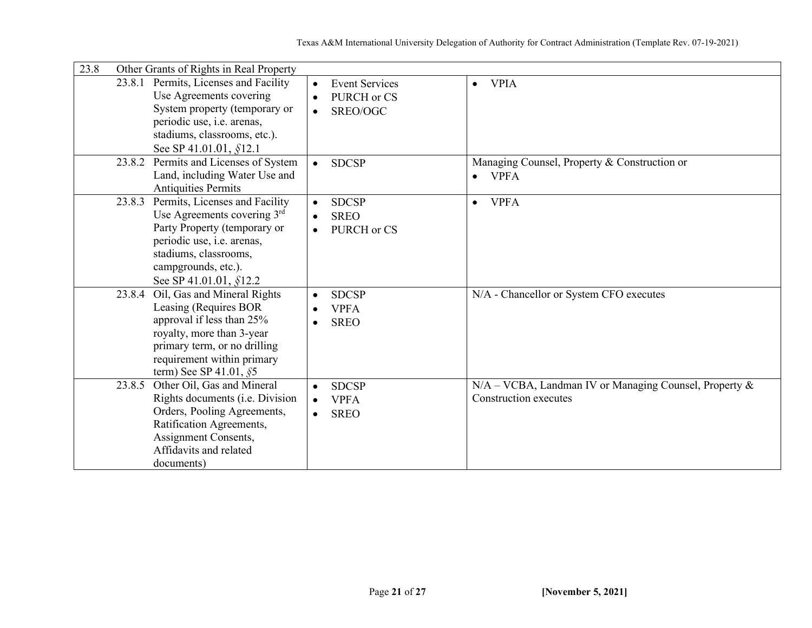| 23.8<br>Other Grants of Rights in Real Property                                                                                                                                                                      |                                                                      |                                                                                 |  |  |  |  |
|----------------------------------------------------------------------------------------------------------------------------------------------------------------------------------------------------------------------|----------------------------------------------------------------------|---------------------------------------------------------------------------------|--|--|--|--|
| 23.8.1 Permits, Licenses and Facility<br>Use Agreements covering<br>System property (temporary or<br>periodic use, i.e. arenas,<br>stadiums, classrooms, etc.).<br>See SP 41.01.01, §12.1                            | <b>Event Services</b><br>PURCH or CS<br>$\bullet$<br>SREO/OGC        | <b>VPIA</b><br>$\bullet$                                                        |  |  |  |  |
| Permits and Licenses of System<br>23.8.2<br>Land, including Water Use and<br><b>Antiquities Permits</b>                                                                                                              | <b>SDCSP</b><br>$\bullet$                                            | Managing Counsel, Property & Construction or<br><b>VPFA</b>                     |  |  |  |  |
| Permits, Licenses and Facility<br>23.8.3<br>Use Agreements covering $3rd$<br>Party Property (temporary or<br>periodic use, i.e. arenas,<br>stadiums, classrooms,<br>campgrounds, etc.).<br>See SP 41.01.01, $$12.2$  | <b>SDCSP</b><br>$\bullet$<br><b>SREO</b><br>$\bullet$<br>PURCH or CS | <b>VPFA</b><br>$\bullet$                                                        |  |  |  |  |
| Oil, Gas and Mineral Rights<br>23.8.4<br>Leasing (Requires BOR<br>approval if less than 25%<br>royalty, more than 3-year<br>primary term, or no drilling<br>requirement within primary<br>term) See SP 41.01, $\S$ 5 | <b>SDCSP</b><br><b>VPFA</b><br><b>SREO</b><br>$\bullet$              | N/A - Chancellor or System CFO executes                                         |  |  |  |  |
| Other Oil, Gas and Mineral<br>23.8.5<br>Rights documents ( <i>i.e. Division</i> )<br>Orders, Pooling Agreements,<br>Ratification Agreements,<br>Assignment Consents,<br>Affidavits and related<br>documents)         | <b>SDCSP</b><br>$\bullet$<br><b>VPFA</b><br><b>SREO</b><br>$\bullet$ | N/A - VCBA, Landman IV or Managing Counsel, Property &<br>Construction executes |  |  |  |  |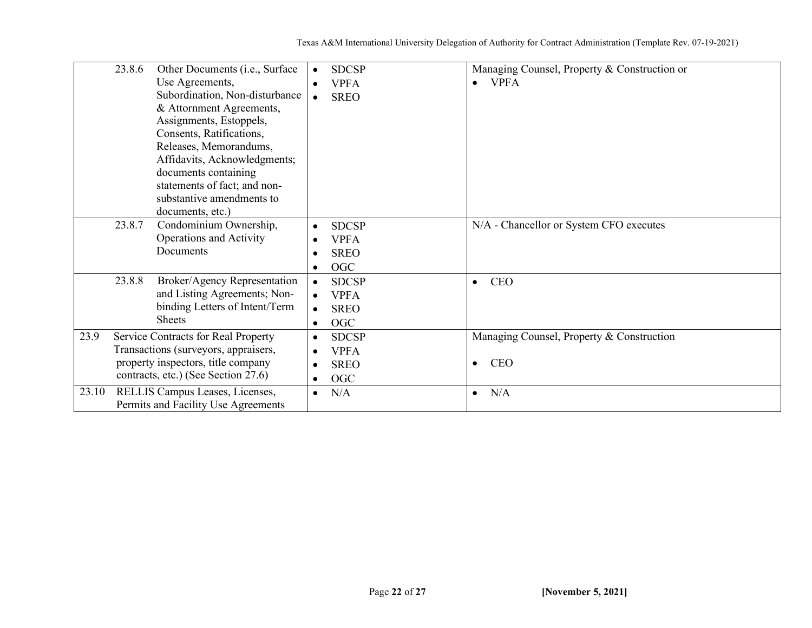|               | 23.8.6<br>Other Documents (i.e., Surface<br>Use Agreements,<br>Subordination, Non-disturbance<br>& Attornment Agreements,<br>Assignments, Estoppels,<br>Consents, Ratifications,<br>Releases, Memorandums,<br>Affidavits, Acknowledgments; | <b>SDCSP</b><br><b>VPFA</b><br><b>SREO</b>                                                                                | Managing Counsel, Property & Construction or<br><b>VPFA</b><br>$\bullet$                 |
|---------------|--------------------------------------------------------------------------------------------------------------------------------------------------------------------------------------------------------------------------------------------|---------------------------------------------------------------------------------------------------------------------------|------------------------------------------------------------------------------------------|
|               | documents containing<br>statements of fact; and non-<br>substantive amendments to<br>documents, etc.)                                                                                                                                      |                                                                                                                           |                                                                                          |
|               | 23.8.7<br>Condominium Ownership,<br>Operations and Activity<br>Documents                                                                                                                                                                   | <b>SDCSP</b><br>$\bullet$<br><b>VPFA</b><br>$\bullet$<br><b>SREO</b><br>$\bullet$<br>OGC<br>$\bullet$                     | N/A - Chancellor or System CFO executes                                                  |
|               | 23.8.8<br>Broker/Agency Representation<br>and Listing Agreements; Non-<br>binding Letters of Intent/Term<br><b>Sheets</b>                                                                                                                  | <b>SDCSP</b><br><b>VPFA</b><br><b>SREO</b><br>OGC<br>$\bullet$                                                            | <b>CEO</b><br>$\bullet$                                                                  |
| 23.9<br>23.10 | Service Contracts for Real Property<br>Transactions (surveyors, appraisers,<br>property inspectors, title company<br>contracts, etc.) (See Section 27.6)<br>RELLIS Campus Leases, Licenses,                                                | <b>SDCSP</b><br>$\bullet$<br><b>VPFA</b><br>$\bullet$<br><b>SREO</b><br>$\bullet$<br>OGC<br>$\bullet$<br>N/A<br>$\bullet$ | Managing Counsel, Property & Construction<br><b>CEO</b><br>$\bullet$<br>N/A<br>$\bullet$ |
|               | Permits and Facility Use Agreements                                                                                                                                                                                                        |                                                                                                                           |                                                                                          |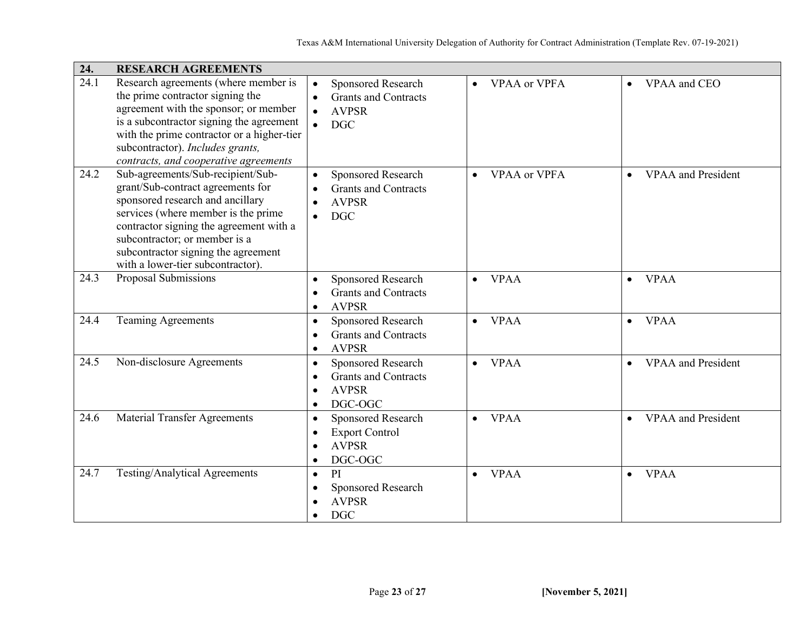| 24.  | <b>RESEARCH AGREEMENTS</b>                                                                                                                                                                                                                                                                                |                                                                                                                                  |                                  |                                        |  |
|------|-----------------------------------------------------------------------------------------------------------------------------------------------------------------------------------------------------------------------------------------------------------------------------------------------------------|----------------------------------------------------------------------------------------------------------------------------------|----------------------------------|----------------------------------------|--|
| 24.1 | Research agreements (where member is<br>the prime contractor signing the<br>agreement with the sponsor; or member<br>is a subcontractor signing the agreement<br>with the prime contractor or a higher-tier<br>subcontractor). Includes grants,<br>contracts, and cooperative agreements                  | Sponsored Research<br><b>Grants and Contracts</b><br><b>AVPSR</b><br><b>DGC</b>                                                  | <b>VPAA</b> or VPFA<br>$\bullet$ | VPAA and CEO                           |  |
| 24.2 | Sub-agreements/Sub-recipient/Sub-<br>grant/Sub-contract agreements for<br>sponsored research and ancillary<br>services (where member is the prime<br>contractor signing the agreement with a<br>subcontractor; or member is a<br>subcontractor signing the agreement<br>with a lower-tier subcontractor). | Sponsored Research<br>$\bullet$<br><b>Grants and Contracts</b><br>$\bullet$<br><b>AVPSR</b><br><b>DGC</b><br>$\bullet$           | <b>VPAA or VPFA</b><br>$\bullet$ | <b>VPAA</b> and President<br>$\bullet$ |  |
| 24.3 | Proposal Submissions                                                                                                                                                                                                                                                                                      | Sponsored Research<br>$\bullet$<br><b>Grants and Contracts</b><br>$\bullet$<br><b>AVPSR</b><br>$\bullet$                         | <b>VPAA</b><br>$\bullet$         | <b>VPAA</b><br>$\bullet$               |  |
| 24.4 | <b>Teaming Agreements</b>                                                                                                                                                                                                                                                                                 | Sponsored Research<br>$\bullet$<br><b>Grants and Contracts</b><br>$\bullet$<br><b>AVPSR</b><br>$\bullet$                         | <b>VPAA</b><br>$\bullet$         | <b>VPAA</b><br>$\bullet$               |  |
| 24.5 | Non-disclosure Agreements                                                                                                                                                                                                                                                                                 | Sponsored Research<br>$\bullet$<br><b>Grants and Contracts</b><br>$\bullet$<br><b>AVPSR</b><br>$\bullet$<br>DGC-OGC<br>$\bullet$ | <b>VPAA</b><br>$\bullet$         | <b>VPAA</b> and President<br>$\bullet$ |  |
| 24.6 | <b>Material Transfer Agreements</b>                                                                                                                                                                                                                                                                       | Sponsored Research<br>$\bullet$<br><b>Export Control</b><br>$\bullet$<br><b>AVPSR</b><br>$\bullet$<br>DGC-OGC<br>$\bullet$       | <b>VPAA</b><br>$\bullet$         | <b>VPAA</b> and President              |  |
| 24.7 | Testing/Analytical Agreements                                                                                                                                                                                                                                                                             | PI<br>$\bullet$<br>Sponsored Research<br>$\bullet$<br><b>AVPSR</b><br>$\bullet$<br><b>DGC</b>                                    | <b>VPAA</b><br>$\bullet$         | <b>VPAA</b>                            |  |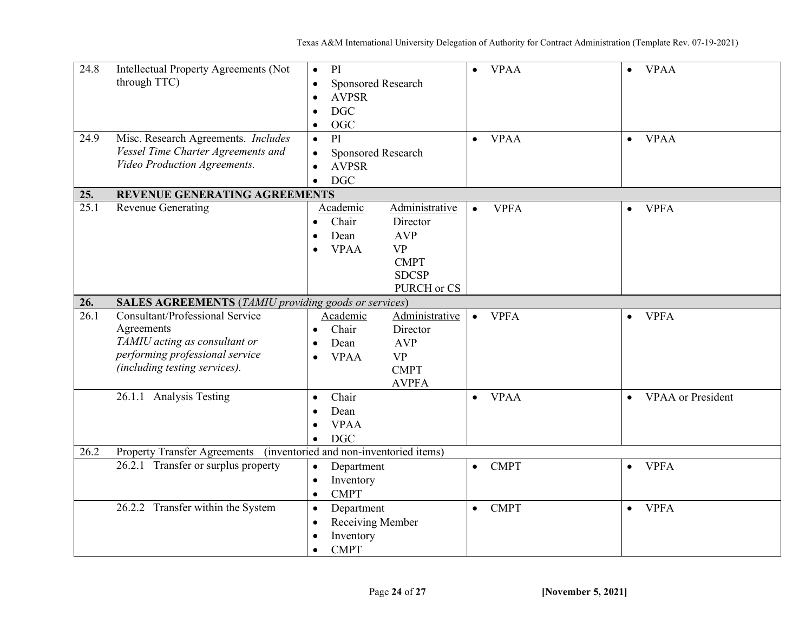| 24.8 | Intellectual Property Agreements (Not                       | PI<br>$\bullet$                         |                | <b>VPAA</b><br>$\bullet$ | $\bullet$ | <b>VPAA</b>              |
|------|-------------------------------------------------------------|-----------------------------------------|----------------|--------------------------|-----------|--------------------------|
|      | through TTC)                                                | Sponsored Research<br>$\bullet$         |                |                          |           |                          |
|      |                                                             | <b>AVPSR</b><br>$\bullet$               |                |                          |           |                          |
|      |                                                             | <b>DGC</b><br>$\bullet$                 |                |                          |           |                          |
|      |                                                             | <b>OGC</b><br>$\bullet$                 |                |                          |           |                          |
| 24.9 | Misc. Research Agreements. Includes                         | PI<br>$\bullet$                         |                | <b>VPAA</b><br>$\bullet$ | $\bullet$ | <b>VPAA</b>              |
|      | Vessel Time Charter Agreements and                          | Sponsored Research<br>$\bullet$         |                |                          |           |                          |
|      | Video Production Agreements.                                | <b>AVPSR</b><br>$\bullet$               |                |                          |           |                          |
|      |                                                             | <b>DGC</b><br>$\bullet$                 |                |                          |           |                          |
| 25.  | REVENUE GENERATING AGREEMENTS                               |                                         |                |                          |           |                          |
| 25.1 | Revenue Generating                                          | Academic                                | Administrative | <b>VPFA</b><br>$\bullet$ | $\bullet$ | <b>VPFA</b>              |
|      |                                                             | Chair<br>$\bullet$                      | Director       |                          |           |                          |
|      |                                                             | Dean<br>$\bullet$                       | <b>AVP</b>     |                          |           |                          |
|      |                                                             | <b>VPAA</b><br>$\bullet$                | <b>VP</b>      |                          |           |                          |
|      |                                                             |                                         | <b>CMPT</b>    |                          |           |                          |
|      |                                                             |                                         | <b>SDCSP</b>   |                          |           |                          |
|      |                                                             |                                         | PURCH or CS    |                          |           |                          |
| 26.  | <b>SALES AGREEMENTS</b> (TAMIU providing goods or services) |                                         |                |                          |           |                          |
| 26.1 | Consultant/Professional Service                             | Academic                                | Administrative | <b>VPFA</b><br>$\bullet$ | $\bullet$ | <b>VPFA</b>              |
|      | Agreements                                                  | Chair<br>$\bullet$                      | Director       |                          |           |                          |
|      | TAMIU acting as consultant or                               | Dean<br>$\bullet$                       | <b>AVP</b>     |                          |           |                          |
|      | performing professional service                             | <b>VPAA</b><br>$\bullet$                | <b>VP</b>      |                          |           |                          |
|      | (including testing services).                               |                                         | <b>CMPT</b>    |                          |           |                          |
|      |                                                             |                                         | <b>AVPFA</b>   |                          |           |                          |
|      | 26.1.1 Analysis Testing                                     | Chair<br>$\bullet$                      |                | <b>VPAA</b><br>$\bullet$ | $\bullet$ | <b>VPAA</b> or President |
|      |                                                             | Dean<br>$\bullet$                       |                |                          |           |                          |
|      |                                                             | <b>VPAA</b><br>$\bullet$                |                |                          |           |                          |
|      |                                                             | <b>DGC</b><br>$\bullet$                 |                |                          |           |                          |
| 26.2 | <b>Property Transfer Agreements</b>                         | (inventoried and non-inventoried items) |                |                          |           |                          |
|      | 26.2.1 Transfer or surplus property                         | Department<br>$\bullet$                 |                | <b>CMPT</b><br>$\bullet$ | $\bullet$ | <b>VPFA</b>              |
|      |                                                             | Inventory<br>$\bullet$                  |                |                          |           |                          |
|      |                                                             | <b>CMPT</b><br>$\bullet$                |                |                          |           |                          |
|      | 26.2.2 Transfer within the System                           | Department<br>$\bullet$                 |                | <b>CMPT</b><br>$\bullet$ | $\bullet$ | <b>VPFA</b>              |
|      |                                                             | Receiving Member<br>$\bullet$           |                |                          |           |                          |
|      |                                                             | Inventory<br>$\bullet$                  |                |                          |           |                          |
|      |                                                             | <b>CMPT</b><br>$\bullet$                |                |                          |           |                          |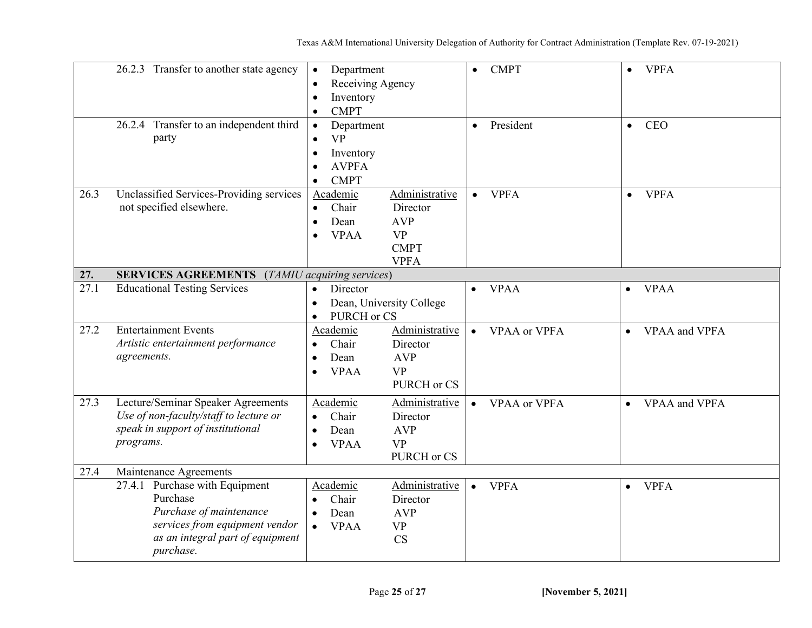|      | 26.2.3 Transfer to another state agency                                                                                                                     | Department<br>$\bullet$<br>Receiving Agency<br>Inventory<br><b>CMPT</b><br>$\bullet$                                                                                   | <b>CMPT</b><br>$\bullet$         | <b>VPFA</b><br>$\bullet$   |
|------|-------------------------------------------------------------------------------------------------------------------------------------------------------------|------------------------------------------------------------------------------------------------------------------------------------------------------------------------|----------------------------------|----------------------------|
|      | 26.2.4 Transfer to an independent third<br>party                                                                                                            | Department<br>$\bullet$<br><b>VP</b><br>Inventory<br>$\bullet$<br><b>AVPFA</b><br><b>CMPT</b><br>$\bullet$                                                             | President<br>$\bullet$           | <b>CEO</b><br>$\bullet$    |
| 26.3 | Unclassified Services-Providing services<br>not specified elsewhere.                                                                                        | Administrative<br>Academic<br>Chair<br>Director<br>$\bullet$<br><b>AVP</b><br>Dean<br>$\bullet$<br><b>VPAA</b><br><b>VP</b><br>$\bullet$<br><b>CMPT</b><br><b>VPFA</b> | <b>VPFA</b><br>$\bullet$         | <b>VPFA</b><br>$\bullet$   |
| 27.  | <b>SERVICES AGREEMENTS</b> (TAMIU acquiring services)                                                                                                       |                                                                                                                                                                        |                                  |                            |
| 27.1 | <b>Educational Testing Services</b>                                                                                                                         | Director<br>$\bullet$<br>Dean, University College<br>$\bullet$<br>PURCH or CS<br>$\bullet$                                                                             | <b>VPAA</b><br>$\bullet$         | <b>VPAA</b><br>$\bullet$   |
| 27.2 | <b>Entertainment Events</b><br>Artistic entertainment performance<br>agreements.                                                                            | Administrative<br>Academic<br>Chair<br>Director<br>$\bullet$<br>Dean<br><b>AVP</b><br>$\bullet$<br><b>VP</b><br><b>VPAA</b><br>$\bullet$<br>PURCH or CS                | <b>VPAA</b> or VPFA<br>$\bullet$ | VPAA and VPFA<br>$\bullet$ |
| 27.3 | Lecture/Seminar Speaker Agreements<br>Use of non-faculty/staff to lecture or<br>speak in support of institutional<br>programs.                              | Academic<br>Administrative<br>Chair<br>Director<br>$\bullet$<br>Dean<br><b>AVP</b><br>$\bullet$<br><b>VP</b><br><b>VPAA</b><br>$\bullet$<br>PURCH or CS                | VPAA or VPFA<br>$\bullet$        | VPAA and VPFA<br>$\bullet$ |
| 27.4 | Maintenance Agreements                                                                                                                                      |                                                                                                                                                                        |                                  |                            |
|      | Purchase with Equipment<br>27.4.1<br>Purchase<br>Purchase of maintenance<br>services from equipment vendor<br>as an integral part of equipment<br>purchase. | Administrative<br>Academic<br>Chair<br>Director<br>$\bullet$<br><b>AVP</b><br>Dean<br>$\bullet$<br><b>VPAA</b><br><b>VP</b><br>$\bullet$<br>CS                         | <b>VPFA</b><br>$\bullet$         | <b>VPFA</b><br>$\bullet$   |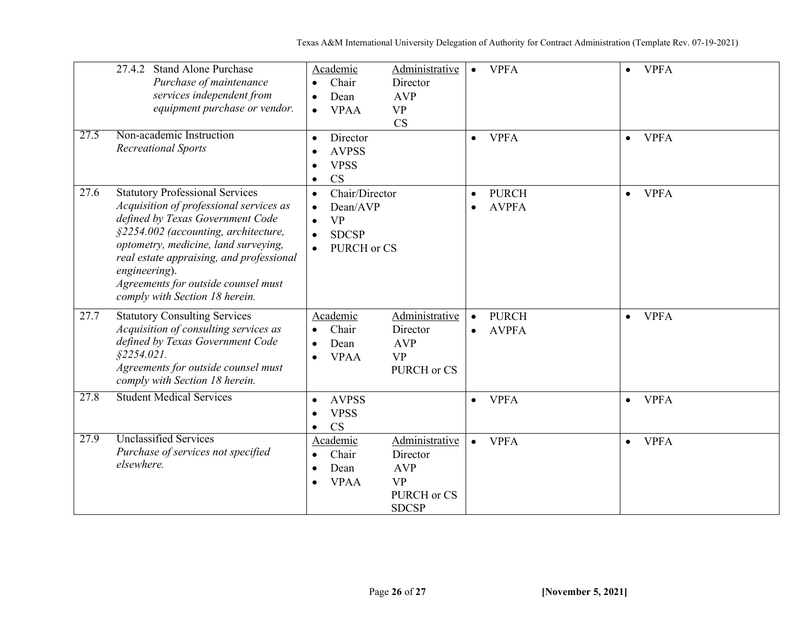|      | <b>Stand Alone Purchase</b><br>27.4.2<br>Purchase of maintenance<br>services independent from<br>equipment purchase or vendor.                                                                                                                                                                                                              | Academic<br>Chair<br>$\bullet$<br>Dean<br><b>VPAA</b><br>$\bullet$                                            | Administrative<br>Director<br><b>AVP</b><br><b>VP</b><br><b>CS</b>                   | <b>VPFA</b><br>$\bullet$                               | $\bullet$ | <b>VPFA</b> |
|------|---------------------------------------------------------------------------------------------------------------------------------------------------------------------------------------------------------------------------------------------------------------------------------------------------------------------------------------------|---------------------------------------------------------------------------------------------------------------|--------------------------------------------------------------------------------------|--------------------------------------------------------|-----------|-------------|
| 27.5 | Non-academic Instruction<br><b>Recreational Sports</b>                                                                                                                                                                                                                                                                                      | Director<br><b>AVPSS</b><br><b>VPSS</b><br><b>CS</b><br>$\bullet$                                             |                                                                                      | <b>VPFA</b><br>$\bullet$                               | $\bullet$ | <b>VPFA</b> |
| 27.6 | <b>Statutory Professional Services</b><br>Acquisition of professional services as<br>defined by Texas Government Code<br>§2254.002 (accounting, architecture,<br>optometry, medicine, land surveying,<br>real estate appraising, and professional<br>engineering).<br>Agreements for outside counsel must<br>comply with Section 18 herein. | Chair/Director<br>$\bullet$<br>Dean/AVP<br><b>VP</b><br>$\bullet$<br><b>SDCSP</b><br>$\bullet$<br>PURCH or CS |                                                                                      | <b>PURCH</b><br>$\bullet$<br><b>AVPFA</b><br>$\bullet$ | $\bullet$ | <b>VPFA</b> |
| 27.7 | <b>Statutory Consulting Services</b><br>Acquisition of consulting services as<br>defined by Texas Government Code<br>$$2254.021$ .<br>Agreements for outside counsel must<br>comply with Section 18 herein.                                                                                                                                 | Academic<br>Chair<br>Dean<br><b>VPAA</b>                                                                      | Administrative<br>Director<br><b>AVP</b><br><b>VP</b><br>PURCH or CS                 | <b>PURCH</b><br>$\bullet$<br><b>AVPFA</b><br>$\bullet$ | $\bullet$ | <b>VPFA</b> |
| 27.8 | <b>Student Medical Services</b>                                                                                                                                                                                                                                                                                                             | <b>AVPSS</b><br>$\bullet$<br><b>VPSS</b><br><b>CS</b><br>$\bullet$                                            |                                                                                      | <b>VPFA</b><br>$\bullet$                               | $\bullet$ | <b>VPFA</b> |
| 27.9 | <b>Unclassified Services</b><br>Purchase of services not specified<br>elsewhere.                                                                                                                                                                                                                                                            | Academic<br>Chair<br>Dean<br>$\bullet$<br><b>VPAA</b><br>٠                                                    | Administrative<br>Director<br><b>AVP</b><br><b>VP</b><br>PURCH or CS<br><b>SDCSP</b> | <b>VPFA</b><br>$\bullet$                               | $\bullet$ | <b>VPFA</b> |